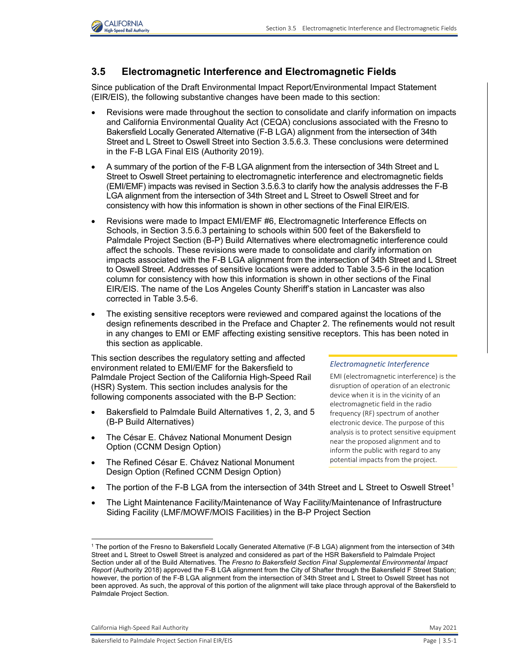

# **3.5 Electromagnetic Interference and Electromagnetic Fields**

Since publication of the Draft Environmental Impact Report/Environmental Impact Statement (EIR/EIS), the following substantive changes have been made to this section:

- Revisions were made throughout the section to consolidate and clarify information on impacts and California Environmental Quality Act (CEQA) conclusions associated with the Fresno to Bakersfield Locally Generated Alternative (F-B LGA) alignment from the intersection of 34th Street and L Street to Oswell Street into Section 3.5.6.3. These conclusions were determined in the F-B LGA Final EIS (Authority 2019).
- A summary of the portion of the F-B LGA alignment from the intersection of 34th Street and L Street to Oswell Street pertaining to electromagnetic interference and electromagnetic fields (EMI/EMF) impacts was revised in Section 3.5.6.3 to clarify how the analysis addresses the F-B LGA alignment from the intersection of 34th Street and L Street to Oswell Street and for consistency with how this information is shown in other sections of the Final EIR/EIS.
- Revisions were made to Impact EMI/EMF #6, Electromagnetic Interference Effects on Schools, in Section 3.5.6.3 pertaining to schools within 500 feet of the Bakersfield to Palmdale Project Section (B-P) Build Alternatives where electromagnetic interference could affect the schools. These revisions were made to consolidate and clarify information on impacts associated with the F-B LGA alignment from the intersection of 34th Street and L Street to Oswell Street. Addresses of sensitive locations were added to [Table 3.5-6](#page-19-0) in the location column for consistency with how this information is shown in other sections of the Final EIR/EIS. The name of the Los Angeles County Sheriff's station in Lancaster was also corrected in [Table 3.5-6.](#page-19-0)
- The existing sensitive receptors were reviewed and compared against the locations of the design refinements described in the Preface and Chapter 2. The refinements would not result in any changes to EMI or EMF affecting existing sensitive receptors. This has been noted in this section as applicable.

This section describes the regulatory setting and affected environment related to EMI/EMF for the Bakersfield to Palmdale Project Section of the California High-Speed Rail (HSR) System. This section includes analysis for the following components associated with the B-P Section:

- Bakersfield to Palmdale Build Alternatives 1, 2, 3, and 5 (B-P Build Alternatives)
- The César E. Chávez National Monument Design Option (CCNM Design Option)
- The Refined César E. Chávez National Monument Design Option (Refined CCNM Design Option)

#### *Electromagnetic Interference*

EMI (electromagnetic interference) is the disruption of operation of an electronic device when it is in the vicinity of an electromagnetic field in the radio frequency (RF) spectrum of another electronic device. The purpose of this analysis is to protect sensitive equipment near the proposed alignment and to inform the public with regard to any potential impacts from the project.

- The portion of the F-B LGA from the intersection of 34th Street and L Street to Oswell Street<sup>[1](#page-0-0)</sup>
- The Light Maintenance Facility/Maintenance of Way Facility/Maintenance of Infrastructure Siding Facility (LMF/MOWF/MOIS Facilities) in the B-P Project Section

California High-Speed Rail Authority May 2021 **May 2021** 

<span id="page-0-0"></span><sup>1</sup> The portion of the Fresno to Bakersfield Locally Generated Alternative (F-B LGA) alignment from the intersection of 34th Street and L Street to Oswell Street is analyzed and considered as part of the HSR Bakersfield to Palmdale Project Section under all of the Build Alternatives. The *Fresno to Bakersfield Section Final Supplemental Environmental Impact Report* (Authority 2018) approved the F-B LGA alignment from the City of Shafter through the Bakersfield F Street Station; however, the portion of the F-B LGA alignment from the intersection of 34th Street and L Street to Oswell Street has not been approved. As such, the approval of this portion of the alignment will take place through approval of the Bakersfield to Palmdale Project Section.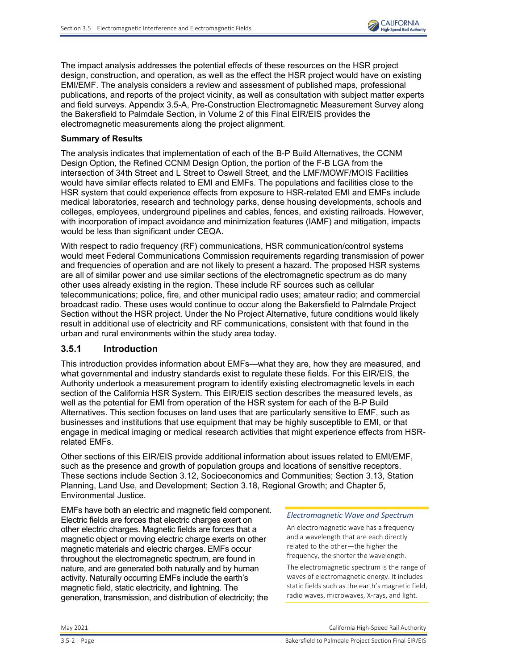

The impact analysis addresses the potential effects of these resources on the HSR project design, construction, and operation, as well as the effect the HSR project would have on existing EMI/EMF. The analysis considers a review and assessment of published maps, professional publications, and reports of the project vicinity, as well as consultation with subject matter experts and field surveys. Appendix 3.5-A, Pre-Construction Electromagnetic Measurement Survey along the Bakersfield to Palmdale Section, in Volume 2 of this Final EIR/EIS provides the electromagnetic measurements along the project alignment.

### **Summary of Results**

The analysis indicates that implementation of each of the B-P Build Alternatives, the CCNM Design Option, the Refined CCNM Design Option, the portion of the F-B LGA from the intersection of 34th Street and L Street to Oswell Street, and the LMF/MOWF/MOIS Facilities would have similar effects related to EMI and EMFs. The populations and facilities close to the HSR system that could experience effects from exposure to HSR-related EMI and EMFs include medical laboratories, research and technology parks, dense housing developments, schools and colleges, employees, underground pipelines and cables, fences, and existing railroads. However, with incorporation of impact avoidance and minimization features (IAMF) and mitigation, impacts would be less than significant under CEQA.

With respect to radio frequency (RF) communications, HSR communication/control systems would meet Federal Communications Commission requirements regarding transmission of power and frequencies of operation and are not likely to present a hazard. The proposed HSR systems are all of similar power and use similar sections of the electromagnetic spectrum as do many other uses already existing in the region. These include RF sources such as cellular telecommunications; police, fire, and other municipal radio uses; amateur radio; and commercial broadcast radio. These uses would continue to occur along the Bakersfield to Palmdale Project Section without the HSR project. Under the No Project Alternative, future conditions would likely result in additional use of electricity and RF communications, consistent with that found in the urban and rural environments within the study area today.

### **3.5.1 Introduction**

This introduction provides information about EMFs—what they are, how they are measured, and what governmental and industry standards exist to regulate these fields. For this EIR/EIS, the Authority undertook a measurement program to identify existing electromagnetic levels in each section of the California HSR System. This EIR/EIS section describes the measured levels, as well as the potential for EMI from operation of the HSR system for each of the B-P Build Alternatives. This section focuses on land uses that are particularly sensitive to EMF, such as businesses and institutions that use equipment that may be highly susceptible to EMI, or that engage in medical imaging or medical research activities that might experience effects from HSRrelated EMFs.

Other sections of this EIR/EIS provide additional information about issues related to EMI/EMF, such as the presence and growth of population groups and locations of sensitive receptors. These sections include Section 3.12, Socioeconomics and Communities; Section 3.13, Station Planning, Land Use, and Development; Section 3.18, Regional Growth; and Chapter 5, Environmental Justice.

EMFs have both an electric and magnetic field component. Electric fields are forces that electric charges exert on other electric charges. Magnetic fields are forces that a magnetic object or moving electric charge exerts on other magnetic materials and electric charges. EMFs occur throughout the electromagnetic spectrum, are found in nature, and are generated both naturally and by human activity. Naturally occurring EMFs include the earth's magnetic field, static electricity, and lightning. The generation, transmission, and distribution of electricity; the

#### *Electromagnetic Wave and Spectrum*

An electromagnetic wave has a frequency and a wavelength that are each directly related to the other—the higher the frequency, the shorter the wavelength.

The electromagnetic spectrum is the range of waves of electromagnetic energy. It includes static fields such as the earth's magnetic field, radio waves, microwaves, X-rays, and light.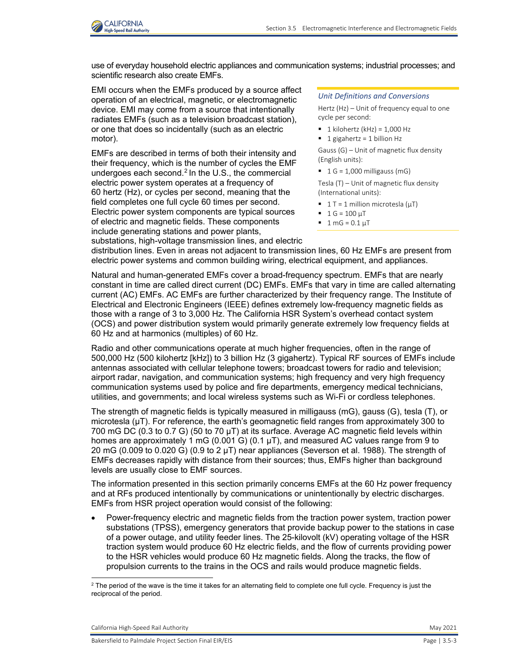

use of everyday household electric appliances and communication systems; industrial processes; and scientific research also create EMFs.

EMI occurs when the EMFs produced by a source affect operation of an electrical, magnetic, or electromagnetic device. EMI may come from a source that intentionally radiates EMFs (such as a television broadcast station), or one that does so incidentally (such as an electric motor).

EMFs are described in terms of both their intensity and their frequency, which is the number of cycles the EMF undergoes each second. [2](#page-2-0) In the U.S., the commercial electric power system operates at a frequency of 60 hertz (Hz), or cycles per second, meaning that the field completes one full cycle 60 times per second. Electric power system components are typical sources of electric and magnetic fields. These components include generating stations and power plants,

#### *Unit Definitions and Conversions*

Hertz (Hz) – Unit of frequency equal to one cycle per second:

- $\blacksquare$  1 kilohertz (kHz) = 1,000 Hz
- $\blacksquare$  1 gigahertz = 1 billion Hz

Gauss (G) – Unit of magnetic flux density (English units):

 $\blacksquare$  1 G = 1,000 milligauss (mG)

Tesla (T) – Unit of magnetic flux density (International units):

- $\blacksquare$  1 T = 1 million microtesla ( $\mu$ T)
- $1 G = 100 \mu T$
- $1 mG = 0.1 \mu T$

substations, high-voltage transmission lines, and electric distribution lines. Even in areas not adjacent to transmission lines, 60 Hz EMFs are present from electric power systems and common building wiring, electrical equipment, and appliances.

Natural and human-generated EMFs cover a broad-frequency spectrum. EMFs that are nearly constant in time are called direct current (DC) EMFs. EMFs that vary in time are called alternating current (AC) EMFs. AC EMFs are further characterized by their frequency range. The Institute of Electrical and Electronic Engineers (IEEE) defines extremely low-frequency magnetic fields as those with a range of 3 to 3,000 Hz. The California HSR System's overhead contact system (OCS) and power distribution system would primarily generate extremely low frequency fields at 60 Hz and at harmonics (multiples) of 60 Hz.

Radio and other communications operate at much higher frequencies, often in the range of 500,000 Hz (500 kilohertz [kHz]) to 3 billion Hz (3 gigahertz). Typical RF sources of EMFs include antennas associated with cellular telephone towers; broadcast towers for radio and television; airport radar, navigation, and communication systems; high frequency and very high frequency communication systems used by police and fire departments, emergency medical technicians, utilities, and governments; and local wireless systems such as Wi-Fi or cordless telephones.

The strength of magnetic fields is typically measured in milligauss (mG), gauss (G), tesla (T), or microtesla (µT). For reference, the earth's geomagnetic field ranges from approximately 300 to 700 mG DC (0.3 to 0.7 G) (50 to 70 µT) at its surface. Average AC magnetic field levels within homes are approximately 1 mG (0.001 G) (0.1  $\mu$ T), and measured AC values range from 9 to 20 mG (0.009 to 0.020 G) (0.9 to 2  $\mu$ T) near appliances (Severson et al. 1988). The strength of EMFs decreases rapidly with distance from their sources; thus, EMFs higher than background levels are usually close to EMF sources.

The information presented in this section primarily concerns EMFs at the 60 Hz power frequency and at RFs produced intentionally by communications or unintentionally by electric discharges. EMFs from HSR project operation would consist of the following:

• Power-frequency electric and magnetic fields from the traction power system, traction power substations (TPSS), emergency generators that provide backup power to the stations in case of a power outage, and utility feeder lines. The 25-kilovolt (kV) operating voltage of the HSR traction system would produce 60 Hz electric fields, and the flow of currents providing power to the HSR vehicles would produce 60 Hz magnetic fields. Along the tracks, the flow of propulsion currents to the trains in the OCS and rails would produce magnetic fields.

California High-Speed Rail Authority May 2021 **May 2021** 

 $\overline{a}$ 

<span id="page-2-0"></span> $^2$  The period of the wave is the time it takes for an alternating field to complete one full cycle. Frequency is just the reciprocal of the period.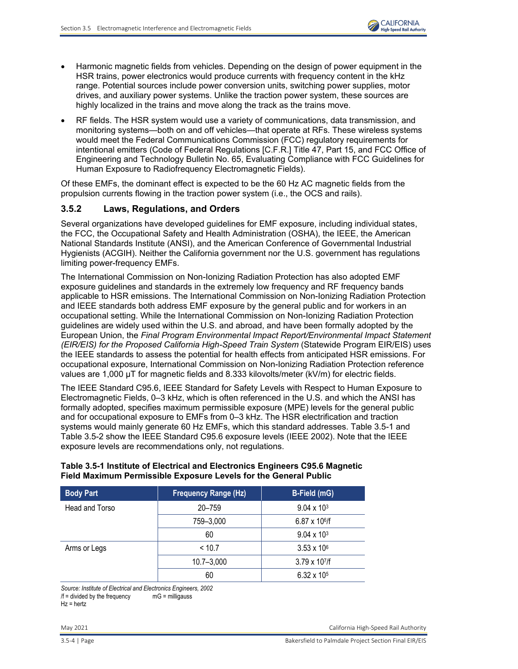- Harmonic magnetic fields from vehicles. Depending on the design of power equipment in the HSR trains, power electronics would produce currents with frequency content in the kHz range. Potential sources include power conversion units, switching power supplies, motor drives, and auxiliary power systems. Unlike the traction power system, these sources are highly localized in the trains and move along the track as the trains move.
- RF fields. The HSR system would use a variety of communications, data transmission, and monitoring systems—both on and off vehicles—that operate at RFs. These wireless systems would meet the Federal Communications Commission (FCC) regulatory requirements for intentional emitters (Code of Federal Regulations [C.F.R.] Title 47, Part 15, and FCC Office of Engineering and Technology Bulletin No. 65, Evaluating Compliance with FCC Guidelines for Human Exposure to Radiofrequency Electromagnetic Fields).

Of these EMFs, the dominant effect is expected to be the 60 Hz AC magnetic fields from the propulsion currents flowing in the traction power system (i.e., the OCS and rails).

### **3.5.2 Laws, Regulations, and Orders**

Several organizations have developed guidelines for EMF exposure, including individual states, the FCC, the Occupational Safety and Health Administration (OSHA), the IEEE, the American National Standards Institute (ANSI), and the American Conference of Governmental Industrial Hygienists (ACGIH). Neither the California government nor the U.S. government has regulations limiting power-frequency EMFs.

The International Commission on Non-Ionizing Radiation Protection has also adopted EMF exposure guidelines and standards in the extremely low frequency and RF frequency bands applicable to HSR emissions. The International Commission on Non-Ionizing Radiation Protection and IEEE standards both address EMF exposure by the general public and for workers in an occupational setting. While the International Commission on Non-Ionizing Radiation Protection guidelines are widely used within the U.S. and abroad, and have been formally adopted by the European Union, the *Final Program Environmental Impact Report/Environmental Impact Statement (EIR/EIS) for the Proposed California High-Speed Train System* (Statewide Program EIR/EIS) uses the IEEE standards to assess the potential for health effects from anticipated HSR emissions. For occupational exposure, International Commission on Non-Ionizing Radiation Protection reference values are 1,000  $\mu$ T for magnetic fields and 8.333 kilovolts/meter (kV/m) for electric fields.

The IEEE Standard C95.6, IEEE Standard for Safety Levels with Respect to Human Exposure to Electromagnetic Fields, 0–3 kHz, which is often referenced in the U.S. and which the ANSI has formally adopted, specifies maximum permissible exposure (MPE) levels for the general public and for occupational exposure to EMFs from 0–3 kHz. The HSR electrification and traction systems would mainly generate 60 Hz EMFs, which this standard addresses. [Table 3.5-1](#page-3-0) and [Table 3.5-2](#page-4-0) show the IEEE Standard C95.6 exposure levels (IEEE 2002). Note that the IEEE exposure levels are recommendations only, not regulations.

### <span id="page-3-0"></span>**Table 3.5-1 Institute of Electrical and Electronics Engineers C95.6 Magnetic Field Maximum Permissible Exposure Levels for the General Public**

| <b>Body Part</b> | <b>Frequency Range (Hz)</b> | B-Field (mG)            |
|------------------|-----------------------------|-------------------------|
| Head and Torso   | 20-759                      | $9.04 \times 10^{3}$    |
|                  | 759-3,000                   | $6.87 \times 10^{6}$    |
|                  | 60                          | $9.04 \times 10^{3}$    |
| Arms or Legs     | < 10.7                      | $3.53 \times 10^6$      |
|                  | $10.7 - 3,000$              | $3.79 \times 10^{7}$ /f |
|                  | 60                          | $6.32 \times 10^{5}$    |

*Source: Institute of Electrical and Electronics Engineers, 2002*  $/f =$  divided by the frequency

Hz = hertz

May 2021 California High-Speed Rail Authority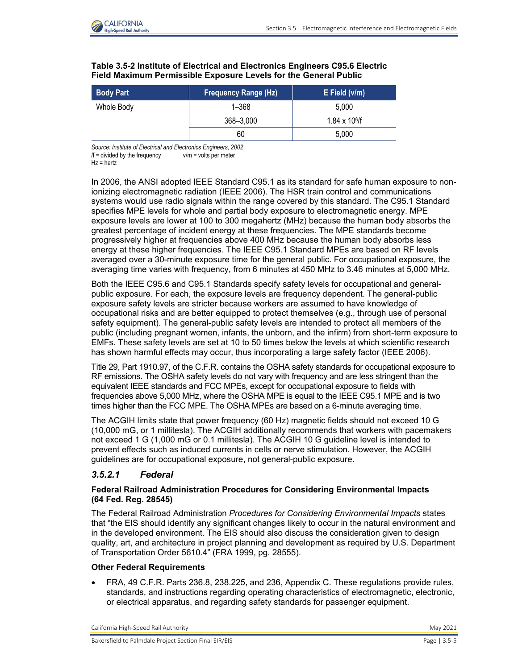

| <b>Body Part</b> | <b>Frequency Range (Hz)</b> | $E$ Field ( $v/m$ )  |
|------------------|-----------------------------|----------------------|
| Whole Body       | $1 - 368$                   | 5.000                |
|                  | 368-3,000                   | $1.84 \times 10^{6}$ |
|                  | 60                          | 5.000                |

### <span id="page-4-0"></span>**Table 3.5-2 Institute of Electrical and Electronics Engineers C95.6 Electric Field Maximum Permissible Exposure Levels for the General Public**

*Source: Institute of Electrical and Electronics Engineers, 2002*  $/f =$  divided by the frequency  $v/m =$  volts per meter

 $Hz = hertz$ 

In 2006, the ANSI adopted IEEE Standard C95.1 as its standard for safe human exposure to nonionizing electromagnetic radiation (IEEE 2006). The HSR train control and communications systems would use radio signals within the range covered by this standard. The C95.1 Standard specifies MPE levels for whole and partial body exposure to electromagnetic energy. MPE exposure levels are lower at 100 to 300 megahertz (MHz) because the human body absorbs the greatest percentage of incident energy at these frequencies. The MPE standards become progressively higher at frequencies above 400 MHz because the human body absorbs less energy at these higher frequencies. The IEEE C95.1 Standard MPEs are based on RF levels averaged over a 30-minute exposure time for the general public. For occupational exposure, the averaging time varies with frequency, from 6 minutes at 450 MHz to 3.46 minutes at 5,000 MHz.

Both the IEEE C95.6 and C95.1 Standards specify safety levels for occupational and generalpublic exposure. For each, the exposure levels are frequency dependent. The general-public exposure safety levels are stricter because workers are assumed to have knowledge of occupational risks and are better equipped to protect themselves (e.g., through use of personal safety equipment). The general-public safety levels are intended to protect all members of the public (including pregnant women, infants, the unborn, and the infirm) from short-term exposure to EMFs. These safety levels are set at 10 to 50 times below the levels at which scientific research has shown harmful effects may occur, thus incorporating a large safety factor (IEEE 2006).

Title 29, Part 1910.97, of the C.F.R. contains the OSHA safety standards for occupational exposure to RF emissions. The OSHA safety levels do not vary with frequency and are less stringent than the equivalent IEEE standards and FCC MPEs, except for occupational exposure to fields with frequencies above 5,000 MHz, where the OSHA MPE is equal to the IEEE C95.1 MPE and is two times higher than the FCC MPE. The OSHA MPEs are based on a 6-minute averaging time.

The ACGIH limits state that power frequency (60 Hz) magnetic fields should not exceed 10 G (10,000 mG, or 1 millitesla). The ACGIH additionally recommends that workers with pacemakers not exceed 1 G (1,000 mG or 0.1 millitesla). The ACGIH 10 G guideline level is intended to prevent effects such as induced currents in cells or nerve stimulation. However, the ACGIH guidelines are for occupational exposure, not general-public exposure.

## *3.5.2.1 Federal*

### **Federal Railroad Administration Procedures for Considering Environmental Impacts (64 Fed. Reg. 28545)**

The Federal Railroad Administration *Procedures for Considering Environmental Impacts* states that "the EIS should identify any significant changes likely to occur in the natural environment and in the developed environment. The EIS should also discuss the consideration given to design quality, art, and architecture in project planning and development as required by U.S. Department of Transportation Order 5610.4" (FRA 1999, pg. 28555).

### **Other Federal Requirements**

• FRA, 49 C.F.R. Parts 236.8, 238.225, and 236, Appendix C. These regulations provide rules, standards, and instructions regarding operating characteristics of electromagnetic, electronic, or electrical apparatus, and regarding safety standards for passenger equipment.

California High-Speed Rail Authority **May 2021** 2021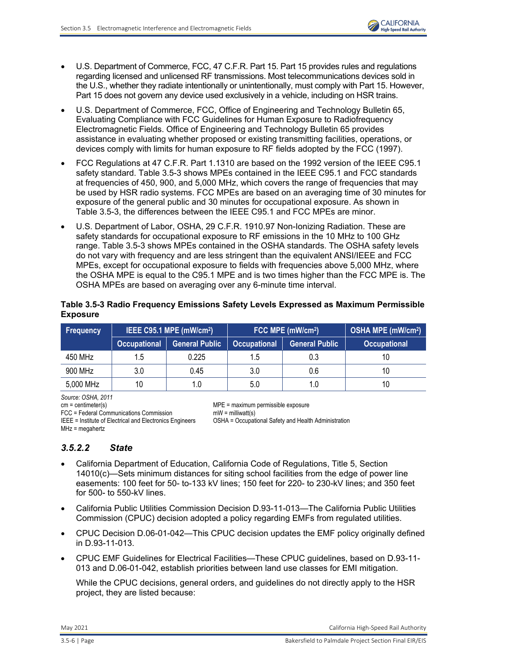

- U.S. Department of Commerce, FCC, 47 C.F.R. Part 15. Part 15 provides rules and regulations regarding licensed and unlicensed RF transmissions. Most telecommunications devices sold in the U.S., whether they radiate intentionally or unintentionally, must comply with Part 15. However, Part 15 does not govern any device used exclusively in a vehicle, including on HSR trains.
- U.S. Department of Commerce, FCC, Office of Engineering and Technology Bulletin 65, Evaluating Compliance with FCC Guidelines for Human Exposure to Radiofrequency Electromagnetic Fields. Office of Engineering and Technology Bulletin 65 provides assistance in evaluating whether proposed or existing transmitting facilities, operations, or devices comply with limits for human exposure to RF fields adopted by the FCC (1997).
- FCC Regulations at 47 C.F.R. Part 1.1310 are based on the 1992 version of the IEEE C95.1 safety standard. [Table 3.5-3](#page-5-0) shows MPEs contained in the IEEE C95.1 and FCC standards at frequencies of 450, 900, and 5,000 MHz, which covers the range of frequencies that may be used by HSR radio systems. FCC MPEs are based on an averaging time of 30 minutes for exposure of the general public and 30 minutes for occupational exposure. As shown in Table [3.5-3,](#page-5-0) the differences between the IEEE C95.1 and FCC MPEs are minor.
- U.S. Department of Labor, OSHA, 29 C.F.R. 1910.97 Non-Ionizing Radiation. These are safety standards for occupational exposure to RF emissions in the 10 MHz to 100 GHz range. [Table](#page-5-0) 3.5-3 shows MPEs contained in the OSHA standards. The OSHA safety levels do not vary with frequency and are less stringent than the equivalent ANSI/IEEE and FCC MPEs, except for occupational exposure to fields with frequencies above 5,000 MHz, where the OSHA MPE is equal to the C95.1 MPE and is two times higher than the FCC MPE is. The OSHA MPEs are based on averaging over any 6-minute time interval.

<span id="page-5-0"></span>

| Table 3.5-3 Radio Frequency Emissions Safety Levels Expressed as Maximum Permissible |  |
|--------------------------------------------------------------------------------------|--|
| <b>Exposure</b>                                                                      |  |

| <b>Frequency</b> | IEEE C95.1 MPE (mW/cm <sup>2</sup> ) |                       | FCC MPE (mW/cm <sup>2</sup> )                |     |                     |  | <b>OSHA MPE (mW/cm<sup>2</sup>)</b> |
|------------------|--------------------------------------|-----------------------|----------------------------------------------|-----|---------------------|--|-------------------------------------|
|                  | <b>Occupational</b>                  | <b>General Public</b> | <b>General Public</b><br><b>Occupational</b> |     | <b>Occupational</b> |  |                                     |
| 450 MHz          | 1.5                                  | 0.225                 | 1.5                                          | 0.3 | 10                  |  |                                     |
| 900 MHz          | 3.0                                  | 0.45                  | 3.0                                          | 0.6 | 10                  |  |                                     |
| 5,000 MHz        | 10                                   | 1.0                   | 5.0                                          | 1.0 | 10                  |  |                                     |

*Source: OSHA, 2011*

cm = centimeter(s)<br>
FCC = Federal Communications Commission<br>
mW = milliwatt(s)<br>
mW = milliwatt(s)  $FCC = Federal$  Communications Commission MHz = megahertz

IEEE = Institute of Electrical and Electronics Engineers OSHA = Occupational Safety and Health Administration

## *3.5.2.2 State*

- California Department of Education, California Code of Regulations, Title 5, Section 14010(c)—Sets minimum distances for siting school facilities from the edge of power line easements: 100 feet for 50- to-133 kV lines; 150 feet for 220- to 230-kV lines; and 350 feet for 500- to 550-kV lines.
- California Public Utilities Commission Decision D.93-11-013—The California Public Utilities Commission (CPUC) decision adopted a policy regarding EMFs from regulated utilities.
- CPUC Decision D.06-01-042—This CPUC decision updates the EMF policy originally defined in D.93-11-013.
- CPUC EMF Guidelines for Electrical Facilities—These CPUC guidelines, based on D.93-11- 013 and D.06-01-042, establish priorities between land use classes for EMI mitigation.

While the CPUC decisions, general orders, and guidelines do not directly apply to the HSR project, they are listed because: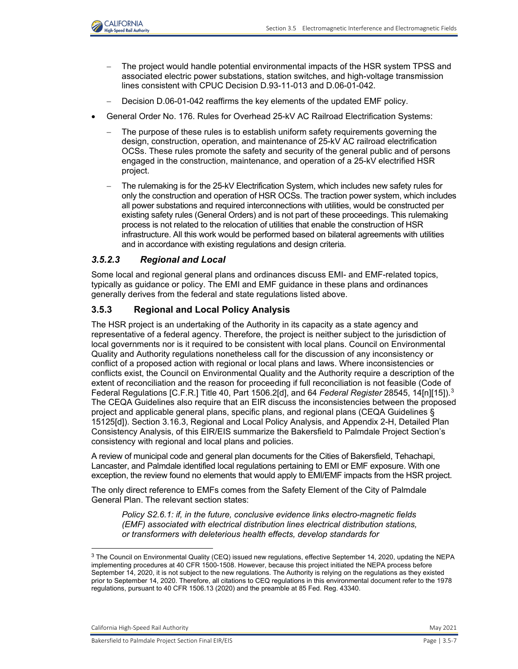

- The project would handle potential environmental impacts of the HSR system TPSS and associated electric power substations, station switches, and high-voltage transmission lines consistent with CPUC Decision D.93-11-013 and D.06-01-042.
- Decision D.06-01-042 reaffirms the key elements of the updated EMF policy.
- General Order No. 176. Rules for Overhead 25-kV AC Railroad Electrification Systems:
	- The purpose of these rules is to establish uniform safety requirements governing the design, construction, operation, and maintenance of 25-kV AC railroad electrification OCSs. These rules promote the safety and security of the general public and of persons engaged in the construction, maintenance, and operation of a 25-kV electrified HSR project.
	- The rulemaking is for the 25-kV Electrification System, which includes new safety rules for only the construction and operation of HSR OCSs. The traction power system, which includes all power substations and required interconnections with utilities, would be constructed per existing safety rules (General Orders) and is not part of these proceedings. This rulemaking process is not related to the relocation of utilities that enable the construction of HSR infrastructure. All this work would be performed based on bilateral agreements with utilities and in accordance with existing regulations and design criteria.

## *3.5.2.3 Regional and Local*

Some local and regional general plans and ordinances discuss EMI- and EMF-related topics, typically as guidance or policy. The EMI and EMF guidance in these plans and ordinances generally derives from the federal and state regulations listed above.

## **3.5.3 Regional and Local Policy Analysis**

The HSR project is an undertaking of the Authority in its capacity as a state agency and representative of a federal agency. Therefore, the project is neither subject to the jurisdiction of local governments nor is it required to be consistent with local plans. Council on Environmental Quality and Authority regulations nonetheless call for the discussion of any inconsistency or conflict of a proposed action with regional or local plans and laws. Where inconsistencies or conflicts exist, the Council on Environmental Quality and the Authority require a description of the extent of reconciliation and the reason for proceeding if full reconciliation is not feasible (Code of Federal Regulations [C.F.R.] Title 40, Part 1506.2[d], and 64 *Federal Register* 28545, 14[n][15]).[3](#page-6-0) The CEQA Guidelines also require that an EIR discuss the inconsistencies between the proposed project and applicable general plans, specific plans, and regional plans (CEQA Guidelines § 15125[d]). Section 3.16.3, Regional and Local Policy Analysis, and Appendix 2-H, Detailed Plan Consistency Analysis, of this EIR/EIS summarize the Bakersfield to Palmdale Project Section's consistency with regional and local plans and policies.

A review of municipal code and general plan documents for the Cities of Bakersfield, Tehachapi, Lancaster, and Palmdale identified local regulations pertaining to EMI or EMF exposure. With one exception, the review found no elements that would apply to EMI/EMF impacts from the HSR project.

The only direct reference to EMFs comes from the Safety Element of the City of Palmdale General Plan. The relevant section states:

*Policy S2.6.1: if, in the future, conclusive evidence links electro-magnetic fields (EMF) associated with electrical distribution lines electrical distribution stations, or transformers with deleterious health effects, develop standards for* 

California High-Speed Rail Authority May 2021 **May 2021** 

 $\overline{a}$ 

<span id="page-6-0"></span><sup>&</sup>lt;sup>3</sup> The Council on Environmental Quality (CEQ) issued new regulations, effective September 14, 2020, updating the NEPA implementing procedures at 40 CFR 1500-1508. However, because this project initiated the NEPA process before September 14, 2020, it is not subject to the new regulations. The Authority is relying on the regulations as they existed prior to September 14, 2020. Therefore, all citations to CEQ regulations in this environmental document refer to the 1978 regulations, pursuant to 40 CFR 1506.13 (2020) and the preamble at 85 Fed. Reg. 43340.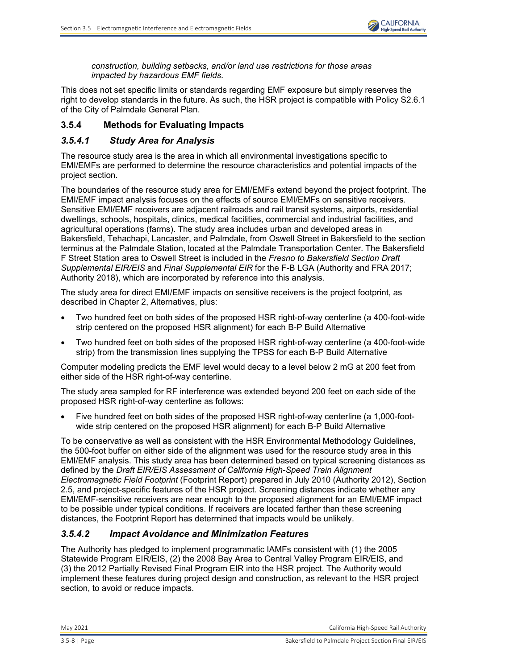

*construction, building setbacks, and/or land use restrictions for those areas impacted by hazardous EMF fields.* 

This does not set specific limits or standards regarding EMF exposure but simply reserves the right to develop standards in the future. As such, the HSR project is compatible with Policy S2.6.1 of the City of Palmdale General Plan.

## **3.5.4 Methods for Evaluating Impacts**

## *3.5.4.1 Study Area for Analysis*

The resource study area is the area in which all environmental investigations specific to EMI/EMFs are performed to determine the resource characteristics and potential impacts of the project section.

The boundaries of the resource study area for EMI/EMFs extend beyond the project footprint. The EMI/EMF impact analysis focuses on the effects of source EMI/EMFs on sensitive receivers. Sensitive EMI/EMF receivers are adjacent railroads and rail transit systems, airports, residential dwellings, schools, hospitals, clinics, medical facilities, commercial and industrial facilities, and agricultural operations (farms). The study area includes urban and developed areas in Bakersfield, Tehachapi, Lancaster, and Palmdale, from Oswell Street in Bakersfield to the section terminus at the Palmdale Station, located at the Palmdale Transportation Center. The Bakersfield F Street Station area to Oswell Street is included in the *Fresno to Bakersfield Section Draft Supplemental EIR/EIS* and *Final Supplemental EIR* for the F-B LGA (Authority and FRA 2017; Authority 2018), which are incorporated by reference into this analysis.

The study area for direct EMI/EMF impacts on sensitive receivers is the project footprint, as described in Chapter 2, Alternatives, plus:

- Two hundred feet on both sides of the proposed HSR right-of-way centerline (a 400-foot-wide strip centered on the proposed HSR alignment) for each B-P Build Alternative
- Two hundred feet on both sides of the proposed HSR right-of-way centerline (a 400-foot-wide strip) from the transmission lines supplying the TPSS for each B-P Build Alternative

Computer modeling predicts the EMF level would decay to a level below 2 mG at 200 feet from either side of the HSR right-of-way centerline.

The study area sampled for RF interference was extended beyond 200 feet on each side of the proposed HSR right-of-way centerline as follows:

• Five hundred feet on both sides of the proposed HSR right-of-way centerline (a 1,000-footwide strip centered on the proposed HSR alignment) for each B-P Build Alternative

To be conservative as well as consistent with the HSR Environmental Methodology Guidelines, the 500-foot buffer on either side of the alignment was used for the resource study area in this EMI/EMF analysis. This study area has been determined based on typical screening distances as defined by the *Draft EIR/EIS Assessment of California High-Speed Train Alignment Electromagnetic Field Footprint* (Footprint Report) prepared in July 2010 (Authority 2012), Section 2.5, and project-specific features of the HSR project. Screening distances indicate whether any EMI/EMF-sensitive receivers are near enough to the proposed alignment for an EMI/EMF impact to be possible under typical conditions. If receivers are located farther than these screening distances, the Footprint Report has determined that impacts would be unlikely.

## *3.5.4.2 Impact Avoidance and Minimization Features*

The Authority has pledged to implement programmatic IAMFs consistent with (1) the 2005 Statewide Program EIR/EIS, (2) the 2008 Bay Area to Central Valley Program EIR/EIS, and (3) the 2012 Partially Revised Final Program EIR into the HSR project. The Authority would implement these features during project design and construction, as relevant to the HSR project section, to avoid or reduce impacts.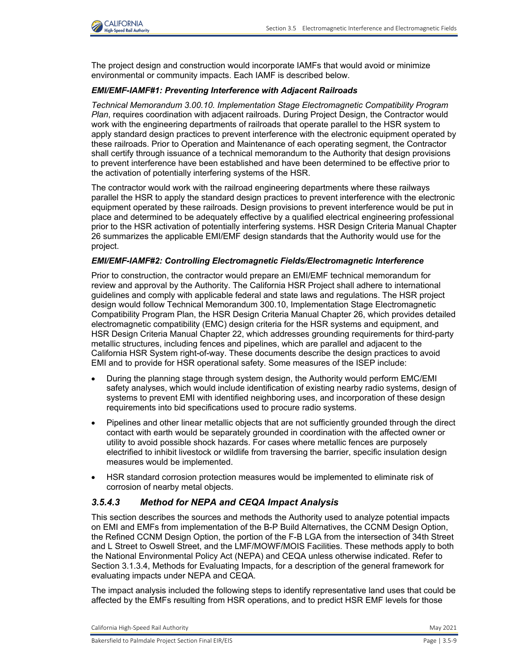

The project design and construction would incorporate IAMFs that would avoid or minimize environmental or community impacts. Each IAMF is described below.

### *EMI/EMF-IAMF#1: Preventing Interference with Adjacent Railroads*

*Technical Memorandum 3.00.10. Implementation Stage Electromagnetic Compatibility Program Plan*, requires coordination with adjacent railroads. During Project Design, the Contractor would work with the engineering departments of railroads that operate parallel to the HSR system to apply standard design practices to prevent interference with the electronic equipment operated by these railroads. Prior to Operation and Maintenance of each operating segment, the Contractor shall certify through issuance of a technical memorandum to the Authority that design provisions to prevent interference have been established and have been determined to be effective prior to the activation of potentially interfering systems of the HSR.

The contractor would work with the railroad engineering departments where these railways parallel the HSR to apply the standard design practices to prevent interference with the electronic equipment operated by these railroads. Design provisions to prevent interference would be put in place and determined to be adequately effective by a qualified electrical engineering professional prior to the HSR activation of potentially interfering systems. HSR Design Criteria Manual Chapter 26 summarizes the applicable EMI/EMF design standards that the Authority would use for the project.

### *EMI/EMF-IAMF#2: Controlling Electromagnetic Fields/Electromagnetic Interference*

Prior to construction, the contractor would prepare an EMI/EMF technical memorandum for review and approval by the Authority. The California HSR Project shall adhere to international guidelines and comply with applicable federal and state laws and regulations. The HSR project design would follow Technical Memorandum 300.10, Implementation Stage Electromagnetic Compatibility Program Plan, the HSR Design Criteria Manual Chapter 26, which provides detailed electromagnetic compatibility (EMC) design criteria for the HSR systems and equipment, and HSR Design Criteria Manual Chapter 22, which addresses grounding requirements for third-party metallic structures, including fences and pipelines, which are parallel and adjacent to the California HSR System right-of-way. These documents describe the design practices to avoid EMI and to provide for HSR operational safety. Some measures of the ISEP include:

- During the planning stage through system design, the Authority would perform EMC/EMI safety analyses, which would include identification of existing nearby radio systems, design of systems to prevent EMI with identified neighboring uses, and incorporation of these design requirements into bid specifications used to procure radio systems.
- Pipelines and other linear metallic objects that are not sufficiently grounded through the direct contact with earth would be separately grounded in coordination with the affected owner or utility to avoid possible shock hazards. For cases where metallic fences are purposely electrified to inhibit livestock or wildlife from traversing the barrier, specific insulation design measures would be implemented.
- HSR standard corrosion protection measures would be implemented to eliminate risk of corrosion of nearby metal objects.

## *3.5.4.3 Method for NEPA and CEQA Impact Analysis*

This section describes the sources and methods the Authority used to analyze potential impacts on EMI and EMFs from implementation of the B-P Build Alternatives, the CCNM Design Option, the Refined CCNM Design Option, the portion of the F-B LGA from the intersection of 34th Street and L Street to Oswell Street, and the LMF/MOWF/MOIS Facilities. These methods apply to both the National Environmental Policy Act (NEPA) and CEQA unless otherwise indicated. Refer to Section 3.1.3.4, Methods for Evaluating Impacts, for a description of the general framework for evaluating impacts under NEPA and CEQA.

The impact analysis included the following steps to identify representative land uses that could be affected by the EMFs resulting from HSR operations, and to predict HSR EMF levels for those

California High-Speed Rail Authority May 2021 **May 2021**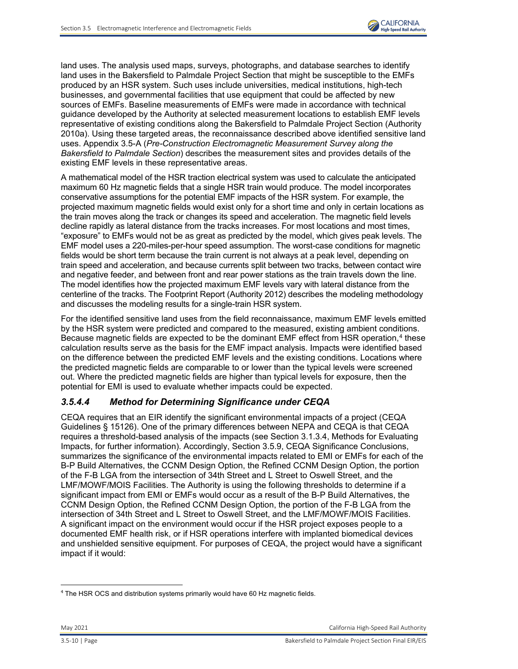

land uses. The analysis used maps, surveys, photographs, and database searches to identify land uses in the Bakersfield to Palmdale Project Section that might be susceptible to the EMFs produced by an HSR system. Such uses include universities, medical institutions, high-tech businesses, and governmental facilities that use equipment that could be affected by new sources of EMFs. Baseline measurements of EMFs were made in accordance with technical guidance developed by the Authority at selected measurement locations to establish EMF levels representative of existing conditions along the Bakersfield to Palmdale Project Section (Authority 2010a). Using these targeted areas, the reconnaissance described above identified sensitive land uses. Appendix 3.5-A (*Pre-Construction Electromagnetic Measurement Survey along the Bakersfield to Palmdale Section*) describes the measurement sites and provides details of the existing EMF levels in these representative areas.

A mathematical model of the HSR traction electrical system was used to calculate the anticipated maximum 60 Hz magnetic fields that a single HSR train would produce. The model incorporates conservative assumptions for the potential EMF impacts of the HSR system. For example, the projected maximum magnetic fields would exist only for a short time and only in certain locations as the train moves along the track or changes its speed and acceleration. The magnetic field levels decline rapidly as lateral distance from the tracks increases. For most locations and most times, "exposure" to EMFs would not be as great as predicted by the model, which gives peak levels. The EMF model uses a 220-miles-per-hour speed assumption. The worst-case conditions for magnetic fields would be short term because the train current is not always at a peak level, depending on train speed and acceleration, and because currents split between two tracks, between contact wire and negative feeder, and between front and rear power stations as the train travels down the line. The model identifies how the projected maximum EMF levels vary with lateral distance from the centerline of the tracks. The Footprint Report (Authority 2012) describes the modeling methodology and discusses the modeling results for a single-train HSR system.

For the identified sensitive land uses from the field reconnaissance, maximum EMF levels emitted by the HSR system were predicted and compared to the measured, existing ambient conditions. Because magnetic fields are expected to be the dominant EMF effect from HSR operation,<sup>[4](#page-9-0)</sup> these calculation results serve as the basis for the EMF impact analysis. Impacts were identified based on the difference between the predicted EMF levels and the existing conditions. Locations where the predicted magnetic fields are comparable to or lower than the typical levels were screened out. Where the predicted magnetic fields are higher than typical levels for exposure, then the potential for EMI is used to evaluate whether impacts could be expected.

## *3.5.4.4 Method for Determining Significance under CEQA*

CEQA requires that an EIR identify the significant environmental impacts of a project (CEQA Guidelines § 15126). One of the primary differences between NEPA and CEQA is that CEQA requires a threshold-based analysis of the impacts (see Section 3.1.3.4, Methods for Evaluating Impacts, for further information). Accordingly, Section 3.5.9, CEQA Significance Conclusions, summarizes the significance of the environmental impacts related to EMI or EMFs for each of the B-P Build Alternatives, the CCNM Design Option, the Refined CCNM Design Option, the portion of the F-B LGA from the intersection of 34th Street and L Street to Oswell Street, and the LMF/MOWF/MOIS Facilities. The Authority is using the following thresholds to determine if a significant impact from EMI or EMFs would occur as a result of the B-P Build Alternatives, the CCNM Design Option, the Refined CCNM Design Option, the portion of the F-B LGA from the intersection of 34th Street and L Street to Oswell Street, and the LMF/MOWF/MOIS Facilities. A significant impact on the environment would occur if the HSR project exposes people to a documented EMF health risk, or if HSR operations interfere with implanted biomedical devices and unshielded sensitive equipment. For purposes of CEQA, the project would have a significant impact if it would:

<span id="page-9-0"></span> $\overline{a}$ 4 The HSR OCS and distribution systems primarily would have 60 Hz magnetic fields.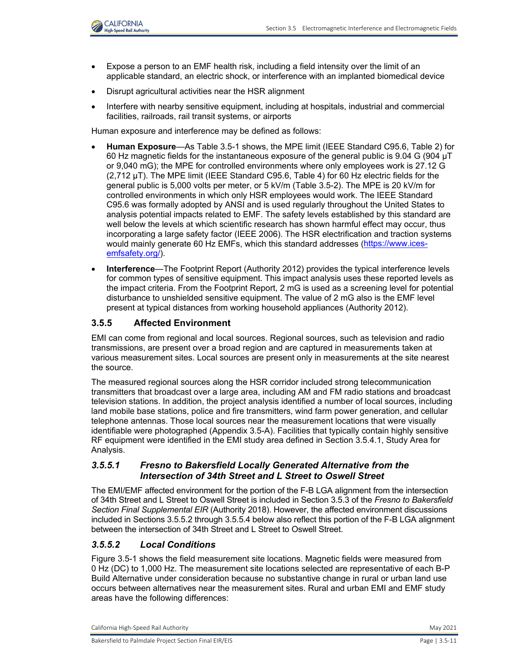

- Expose a person to an EMF health risk, including a field intensity over the limit of an applicable standard, an electric shock, or interference with an implanted biomedical device
- Disrupt agricultural activities near the HSR alignment
- Interfere with nearby sensitive equipment, including at hospitals, industrial and commercial facilities, railroads, rail transit systems, or airports

Human exposure and interference may be defined as follows:

- **Human Exposure**—As [Table 3.5-1](#page-3-0) shows, the MPE limit (IEEE Standard C95.6, Table 2) for 60 Hz magnetic fields for the instantaneous exposure of the general public is 9.04 G (904 µT or 9,040 mG); the MPE for controlled environments where only employees work is 27.12 G (2,712 µT). The MPE limit (IEEE Standard C95.6, Table 4) for 60 Hz electric fields for the general public is 5,000 volts per meter, or 5 kV/m [\(Table 3.5-2\)](#page-4-0). The MPE is 20 kV/m for controlled environments in which only HSR employees would work. The IEEE Standard C95.6 was formally adopted by ANSI and is used regularly throughout the United States to analysis potential impacts related to EMF. The safety levels established by this standard are well below the levels at which scientific research has shown harmful effect may occur, thus incorporating a large safety factor (IEEE 2006). The HSR electrification and traction systems would mainly generate 60 Hz EMFs, which this standard addresses [\(https://www.ices](https://www.ices-emfsafety.org/)[emfsafety.org/\)](https://www.ices-emfsafety.org/).
- **Interference**—The Footprint Report (Authority 2012) provides the typical interference levels for common types of sensitive equipment. This impact analysis uses these reported levels as the impact criteria. From the Footprint Report, 2 mG is used as a screening level for potential disturbance to unshielded sensitive equipment. The value of 2 mG also is the EMF level present at typical distances from working household appliances (Authority 2012).

## **3.5.5 Affected Environment**

EMI can come from regional and local sources. Regional sources, such as television and radio transmissions, are present over a broad region and are captured in measurements taken at various measurement sites. Local sources are present only in measurements at the site nearest the source.

The measured regional sources along the HSR corridor included strong telecommunication transmitters that broadcast over a large area, including AM and FM radio stations and broadcast television stations. In addition, the project analysis identified a number of local sources, including land mobile base stations, police and fire transmitters, wind farm power generation, and cellular telephone antennas. Those local sources near the measurement locations that were visually identifiable were photographed (Appendix 3.5-A). Facilities that typically contain highly sensitive RF equipment were identified in the EMI study area defined in Section 3.5.4.1, Study Area for Analysis.

## *3.5.5.1 Fresno to Bakersfield Locally Generated Alternative from the Intersection of 34th Street and L Street to Oswell Street*

The EMI/EMF affected environment for the portion of the F-B LGA alignment from the intersection of 34th Street and L Street to Oswell Street is included in Section 3.5.3 of the *Fresno to Bakersfield Section Final Supplemental EIR* (Authority 2018). However, the affected environment discussions included in Sections 3.5.5.2 through 3.5.5.4 below also reflect this portion of the F-B LGA alignment between the intersection of 34th Street and L Street to Oswell Street.

## *3.5.5.2 Local Conditions*

[Figure 3.5-1](#page-11-0) shows the field measurement site locations. Magnetic fields were measured from 0 Hz (DC) to 1,000 Hz. The measurement site locations selected are representative of each B-P Build Alternative under consideration because no substantive change in rural or urban land use occurs between alternatives near the measurement sites. Rural and urban EMI and EMF study areas have the following differences:

California High-Speed Rail Authority May 2021 **May 2021**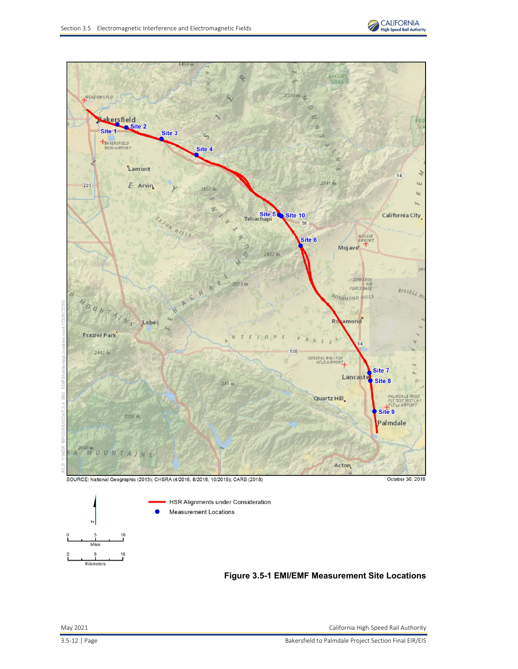





Miles

<span id="page-11-0"></span>Kilometers

 $16$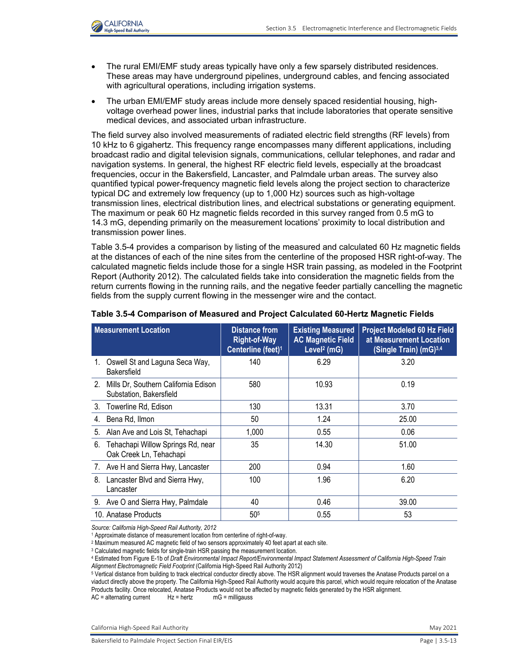

- The rural EMI/EMF study areas typically have only a few sparsely distributed residences. These areas may have underground pipelines, underground cables, and fencing associated with agricultural operations, including irrigation systems.
- The urban EMI/EMF study areas include more densely spaced residential housing, highvoltage overhead power lines, industrial parks that include laboratories that operate sensitive medical devices, and associated urban infrastructure.

The field survey also involved measurements of radiated electric field strengths (RF levels) from 10 kHz to 6 gigahertz. This frequency range encompasses many different applications, including broadcast radio and digital television signals, communications, cellular telephones, and radar and navigation systems. In general, the highest RF electric field levels, especially at the broadcast frequencies, occur in the Bakersfield, Lancaster, and Palmdale urban areas. The survey also quantified typical power-frequency magnetic field levels along the project section to characterize typical DC and extremely low frequency (up to 1,000 Hz) sources such as high-voltage transmission lines, electrical distribution lines, and electrical substations or generating equipment. The maximum or peak 60 Hz magnetic fields recorded in this survey ranged from 0.5 mG to 14.3 mG, depending primarily on the measurement locations' proximity to local distribution and transmission power lines.

[Table 3.5-4](#page-12-0) provides a comparison by listing of the measured and calculated 60 Hz magnetic fields at the distances of each of the nine sites from the centerline of the proposed HSR right-of-way. The calculated magnetic fields include those for a single HSR train passing, as modeled in the Footprint Report (Authority 2012). The calculated fields take into consideration the magnetic fields from the return currents flowing in the running rails, and the negative feeder partially cancelling the magnetic fields from the supply current flowing in the messenger wire and the contact.

| <b>Measurement Location</b>                                        | <b>Distance from</b><br><b>Right-of-Way</b><br>Centerline (feet) <sup>1</sup> | <b>Existing Measured</b><br><b>AC Magnetic Field</b><br>Level <sup>2</sup> (mG) | <b>Project Modeled 60 Hz Field</b><br>at Measurement Location<br>(Single Train) (mG)3,4 |
|--------------------------------------------------------------------|-------------------------------------------------------------------------------|---------------------------------------------------------------------------------|-----------------------------------------------------------------------------------------|
| Oswell St and Laguna Seca Way,<br>1.<br><b>Bakersfield</b>         | 140                                                                           | 6.29                                                                            | 3.20                                                                                    |
| 2. Mills Dr, Southern California Edison<br>Substation, Bakersfield | 580                                                                           | 10.93                                                                           | 0.19                                                                                    |
| 3. Towerline Rd, Edison                                            | 130                                                                           | 13.31                                                                           | 3.70                                                                                    |
| Bena Rd, Ilmon<br>4.                                               | 50                                                                            | 1.24                                                                            | 25.00                                                                                   |
| 5.<br>Alan Ave and Lois St, Tehachapi                              | 1,000                                                                         | 0.55                                                                            | 0.06                                                                                    |
| Tehachapi Willow Springs Rd, near<br>6.<br>Oak Creek Ln, Tehachapi | 35                                                                            | 14.30                                                                           | 51.00                                                                                   |
| 7. Ave H and Sierra Hwy, Lancaster                                 | 200                                                                           | 0.94                                                                            | 1.60                                                                                    |
| 8.<br>Lancaster Blvd and Sierra Hwy,<br>Lancaster                  | 100                                                                           | 1.96                                                                            | 6.20                                                                                    |
| 9. Ave O and Sierra Hwy, Palmdale                                  | 40                                                                            | 0.46                                                                            | 39.00                                                                                   |
| 10. Anatase Products                                               | 50 <sup>5</sup>                                                               | 0.55                                                                            | 53                                                                                      |

#### <span id="page-12-0"></span>**Table 3.5-4 Comparison of Measured and Project Calculated 60-Hertz Magnetic Fields**

*Source: California High-Speed Rail Authority, 2012*

<sup>1</sup> Approximate distance of measurement location from centerline of right-of-way.

<sup>2</sup> Maximum measured AC magnetic field of two sensors approximately 40 feet apart at each site.

<sup>4</sup> Estimated from Figure E-1b of *Draft Environmental Impact Report/Environmental Impact Statement Assessment of California High-Speed Train* 

5 Vertical distance from building to track electrical conductor directly above. The HSR alignment would traverses the Anatase Products parcel on a viaduct directly above the property. The California High-Speed Rail Authority would acquire this parcel, which would require relocation of the Anatase Products facility. Once relocated, Anatase Products would not be affected by magnetic fields generated by the HSR alignment.  $AC =$  alternating current  $Hz =$  hertz  $mg =$  milligauss

California High-Speed Rail Authority **May 2021** 2021

<sup>&</sup>lt;sup>3</sup> Calculated magnetic fields for single-train HSR passing the measurement location.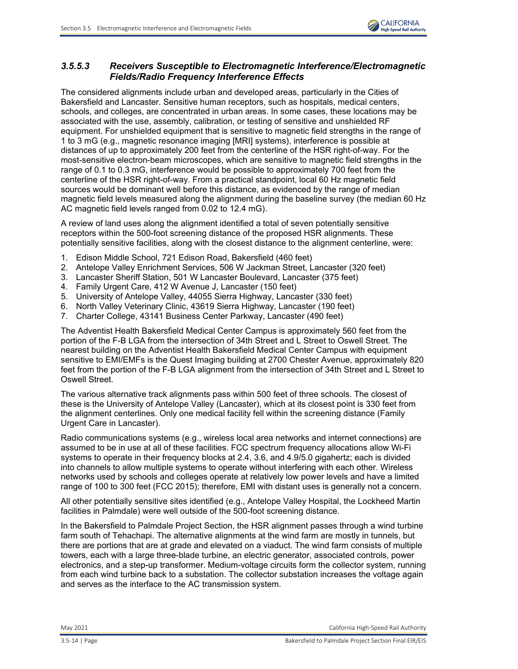

## *3.5.5.3 Receivers Susceptible to Electromagnetic Interference/Electromagnetic Fields/Radio Frequency Interference Effects*

The considered alignments include urban and developed areas, particularly in the Cities of Bakersfield and Lancaster. Sensitive human receptors, such as hospitals, medical centers, schools, and colleges, are concentrated in urban areas. In some cases, these locations may be associated with the use, assembly, calibration, or testing of sensitive and unshielded RF equipment. For unshielded equipment that is sensitive to magnetic field strengths in the range of 1 to 3 mG (e.g., magnetic resonance imaging [MRI] systems), interference is possible at distances of up to approximately 200 feet from the centerline of the HSR right-of-way. For the most-sensitive electron-beam microscopes, which are sensitive to magnetic field strengths in the range of 0.1 to 0.3 mG, interference would be possible to approximately 700 feet from the centerline of the HSR right-of-way. From a practical standpoint, local 60 Hz magnetic field sources would be dominant well before this distance, as evidenced by the range of median magnetic field levels measured along the alignment during the baseline survey (the median 60 Hz AC magnetic field levels ranged from 0.02 to 12.4 mG).

A review of land uses along the alignment identified a total of seven potentially sensitive receptors within the 500-foot screening distance of the proposed HSR alignments. These potentially sensitive facilities, along with the closest distance to the alignment centerline, were:

- 1. Edison Middle School, 721 Edison Road, Bakersfield (460 feet)
- 2. Antelope Valley Enrichment Services, 506 W Jackman Street, Lancaster (320 feet)
- 3. Lancaster Sheriff Station, 501 W Lancaster Boulevard, Lancaster (375 feet)
- 4. Family Urgent Care, 412 W Avenue J, Lancaster (150 feet)
- 5. University of Antelope Valley, 44055 Sierra Highway, Lancaster (330 feet)
- 6. North Valley Veterinary Clinic, 43619 Sierra Highway, Lancaster (190 feet)
- 7. Charter College, 43141 Business Center Parkway, Lancaster (490 feet)

The Adventist Health Bakersfield Medical Center Campus is approximately 560 feet from the portion of the F-B LGA from the intersection of 34th Street and L Street to Oswell Street. The nearest building on the Adventist Health Bakersfield Medical Center Campus with equipment sensitive to EMI/EMFs is the Quest Imaging building at 2700 Chester Avenue, approximately 820 feet from the portion of the F-B LGA alignment from the intersection of 34th Street and L Street to Oswell Street.

The various alternative track alignments pass within 500 feet of three schools. The closest of these is the University of Antelope Valley (Lancaster), which at its closest point is 330 feet from the alignment centerlines. Only one medical facility fell within the screening distance (Family Urgent Care in Lancaster).

Radio communications systems (e.g., wireless local area networks and internet connections) are assumed to be in use at all of these facilities. FCC spectrum frequency allocations allow Wi-Fi systems to operate in their frequency blocks at 2.4, 3.6, and 4.9/5.0 gigahertz; each is divided into channels to allow multiple systems to operate without interfering with each other. Wireless networks used by schools and colleges operate at relatively low power levels and have a limited range of 100 to 300 feet (FCC 2015); therefore, EMI with distant uses is generally not a concern.

All other potentially sensitive sites identified (e.g., Antelope Valley Hospital, the Lockheed Martin facilities in Palmdale) were well outside of the 500-foot screening distance.

In the Bakersfield to Palmdale Project Section, the HSR alignment passes through a wind turbine farm south of Tehachapi. The alternative alignments at the wind farm are mostly in tunnels, but there are portions that are at grade and elevated on a viaduct. The wind farm consists of multiple towers, each with a large three-blade turbine, an electric generator, associated controls, power electronics, and a step-up transformer. Medium-voltage circuits form the collector system, running from each wind turbine back to a substation. The collector substation increases the voltage again and serves as the interface to the AC transmission system.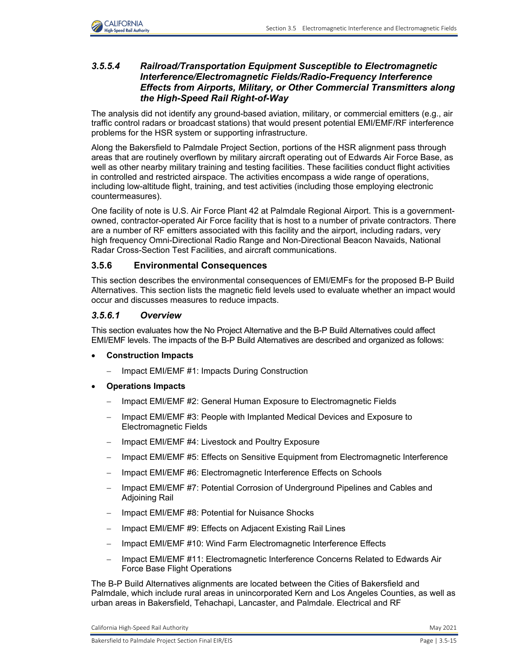

### *3.5.5.4 Railroad/Transportation Equipment Susceptible to Electromagnetic Interference/Electromagnetic Fields/Radio-Frequency Interference Effects from Airports, Military, or Other Commercial Transmitters along the High-Speed Rail Right-of-Way*

The analysis did not identify any ground-based aviation, military, or commercial emitters (e.g., air traffic control radars or broadcast stations) that would present potential EMI/EMF/RF interference problems for the HSR system or supporting infrastructure.

Along the Bakersfield to Palmdale Project Section, portions of the HSR alignment pass through areas that are routinely overflown by military aircraft operating out of Edwards Air Force Base, as well as other nearby military training and testing facilities. These facilities conduct flight activities in controlled and restricted airspace. The activities encompass a wide range of operations, including low-altitude flight, training, and test activities (including those employing electronic countermeasures).

One facility of note is U.S. Air Force Plant 42 at Palmdale Regional Airport. This is a governmentowned, contractor-operated Air Force facility that is host to a number of private contractors. There are a number of RF emitters associated with this facility and the airport, including radars, very high frequency Omni-Directional Radio Range and Non-Directional Beacon Navaids, National Radar Cross-Section Test Facilities, and aircraft communications.

## **3.5.6 Environmental Consequences**

This section describes the environmental consequences of EMI/EMFs for the proposed B-P Build Alternatives. This section lists the magnetic field levels used to evaluate whether an impact would occur and discusses measures to reduce impacts.

## *3.5.6.1 Overview*

This section evaluates how the No Project Alternative and the B-P Build Alternatives could affect EMI/EMF levels. The impacts of the B-P Build Alternatives are described and organized as follows:

- **Construction Impacts**
	- − Impact EMI/EMF #1: Impacts During Construction
- **Operations Impacts**
	- − Impact EMI/EMF #2: General Human Exposure to Electromagnetic Fields
	- Impact EMI/EMF #3: People with Implanted Medical Devices and Exposure to Electromagnetic Fields
	- − Impact EMI/EMF #4: Livestock and Poultry Exposure
	- − Impact EMI/EMF #5: Effects on Sensitive Equipment from Electromagnetic Interference
	- − Impact EMI/EMF #6: Electromagnetic Interference Effects on Schools
	- Impact EMI/EMF #7: Potential Corrosion of Underground Pipelines and Cables and Adjoining Rail
	- − Impact EMI/EMF #8: Potential for Nuisance Shocks
	- − Impact EMI/EMF #9: Effects on Adjacent Existing Rail Lines
	- − Impact EMI/EMF #10: Wind Farm Electromagnetic Interference Effects
	- − Impact EMI/EMF #11: Electromagnetic Interference Concerns Related to Edwards Air Force Base Flight Operations

The B-P Build Alternatives alignments are located between the Cities of Bakersfield and Palmdale, which include rural areas in unincorporated Kern and Los Angeles Counties, as well as urban areas in Bakersfield, Tehachapi, Lancaster, and Palmdale. Electrical and RF

California High-Speed Rail Authority May 2021 **May 2021**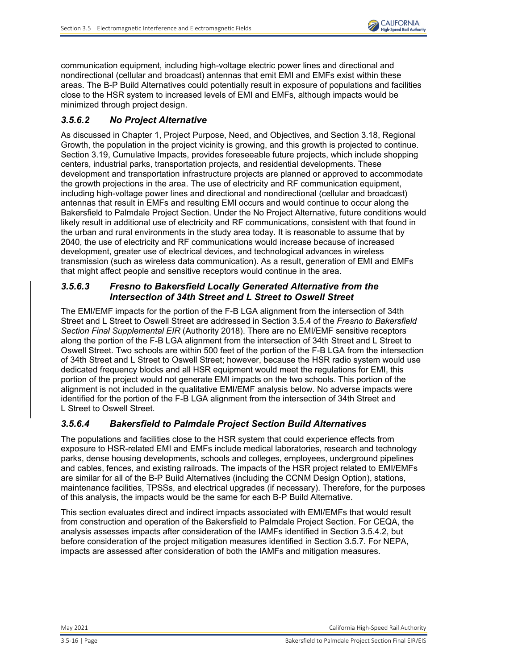

communication equipment, including high-voltage electric power lines and directional and nondirectional (cellular and broadcast) antennas that emit EMI and EMFs exist within these areas. The B-P Build Alternatives could potentially result in exposure of populations and facilities close to the HSR system to increased levels of EMI and EMFs, although impacts would be minimized through project design.

# *3.5.6.2 No Project Alternative*

As discussed in Chapter 1, Project Purpose, Need, and Objectives, and Section 3.18, Regional Growth, the population in the project vicinity is growing, and this growth is projected to continue. Section 3.19, Cumulative Impacts, provides foreseeable future projects, which include shopping centers, industrial parks, transportation projects, and residential developments. These development and transportation infrastructure projects are planned or approved to accommodate the growth projections in the area. The use of electricity and RF communication equipment, including high-voltage power lines and directional and nondirectional (cellular and broadcast) antennas that result in EMFs and resulting EMI occurs and would continue to occur along the Bakersfield to Palmdale Project Section. Under the No Project Alternative, future conditions would likely result in additional use of electricity and RF communications, consistent with that found in the urban and rural environments in the study area today. It is reasonable to assume that by 2040, the use of electricity and RF communications would increase because of increased development, greater use of electrical devices, and technological advances in wireless transmission (such as wireless data communication). As a result, generation of EMI and EMFs that might affect people and sensitive receptors would continue in the area.

## *3.5.6.3 Fresno to Bakersfield Locally Generated Alternative from the Intersection of 34th Street and L Street to Oswell Street*

The EMI/EMF impacts for the portion of the F-B LGA alignment from the intersection of 34th Street and L Street to Oswell Street are addressed in Section 3.5.4 of the *Fresno to Bakersfield Section Final Supplemental EIR* (Authority 2018). There are no EMI/EMF sensitive receptors along the portion of the F-B LGA alignment from the intersection of 34th Street and L Street to Oswell Street. Two schools are within 500 feet of the portion of the F-B LGA from the intersection of 34th Street and L Street to Oswell Street; however, because the HSR radio system would use dedicated frequency blocks and all HSR equipment would meet the regulations for EMI, this portion of the project would not generate EMI impacts on the two schools. This portion of the alignment is not included in the qualitative EMI/EMF analysis below. No adverse impacts were identified for the portion of the F-B LGA alignment from the intersection of 34th Street and L Street to Oswell Street.

# *3.5.6.4 Bakersfield to Palmdale Project Section Build Alternatives*

The populations and facilities close to the HSR system that could experience effects from exposure to HSR-related EMI and EMFs include medical laboratories, research and technology parks, dense housing developments, schools and colleges, employees, underground pipelines and cables, fences, and existing railroads. The impacts of the HSR project related to EMI/EMFs are similar for all of the B-P Build Alternatives (including the CCNM Design Option), stations, maintenance facilities, TPSSs, and electrical upgrades (if necessary). Therefore, for the purposes of this analysis, the impacts would be the same for each B-P Build Alternative.

This section evaluates direct and indirect impacts associated with EMI/EMFs that would result from construction and operation of the Bakersfield to Palmdale Project Section. For CEQA, the analysis assesses impacts after consideration of the IAMFs identified in Section 3.5.4.2, but before consideration of the project mitigation measures identified in Section 3.5.7. For NEPA, impacts are assessed after consideration of both the IAMFs and mitigation measures.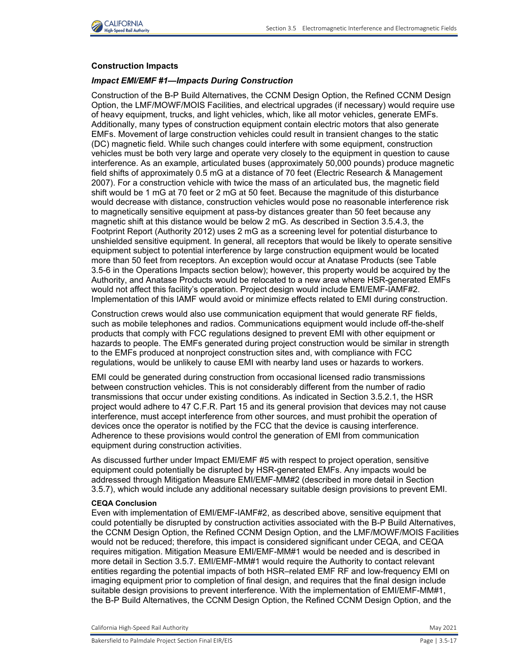

### **Construction Impacts**

### *Impact EMI/EMF #1—Impacts During Construction*

Construction of the B-P Build Alternatives, the CCNM Design Option, the Refined CCNM Design Option, the LMF/MOWF/MOIS Facilities, and electrical upgrades (if necessary) would require use of heavy equipment, trucks, and light vehicles, which, like all motor vehicles, generate EMFs. Additionally, many types of construction equipment contain electric motors that also generate EMFs. Movement of large construction vehicles could result in transient changes to the static (DC) magnetic field. While such changes could interfere with some equipment, construction vehicles must be both very large and operate very closely to the equipment in question to cause interference. As an example, articulated buses (approximately 50,000 pounds) produce magnetic field shifts of approximately 0.5 mG at a distance of 70 feet (Electric Research & Management 2007). For a construction vehicle with twice the mass of an articulated bus, the magnetic field shift would be 1 mG at 70 feet or 2 mG at 50 feet. Because the magnitude of this disturbance would decrease with distance, construction vehicles would pose no reasonable interference risk to magnetically sensitive equipment at pass-by distances greater than 50 feet because any magnetic shift at this distance would be below 2 mG. As described in Section 3.5.4.3, the Footprint Report (Authority 2012) uses 2 mG as a screening level for potential disturbance to unshielded sensitive equipment. In general, all receptors that would be likely to operate sensitive equipment subject to potential interference by large construction equipment would be located more than 50 feet from receptors. An exception would occur at Anatase Products (see [Table](#page-19-0)  [3.5-6](#page-19-0) in the Operations Impacts section below); however, this property would be acquired by the Authority, and Anatase Products would be relocated to a new area where HSR-generated EMFs would not affect this facility's operation. Project design would include EMI/EMF-IAMF#2. Implementation of this IAMF would avoid or minimize effects related to EMI during construction.

Construction crews would also use communication equipment that would generate RF fields, such as mobile telephones and radios. Communications equipment would include off-the-shelf products that comply with FCC regulations designed to prevent EMI with other equipment or hazards to people. The EMFs generated during project construction would be similar in strength to the EMFs produced at nonproject construction sites and, with compliance with FCC regulations, would be unlikely to cause EMI with nearby land uses or hazards to workers.

EMI could be generated during construction from occasional licensed radio transmissions between construction vehicles. This is not considerably different from the number of radio transmissions that occur under existing conditions. As indicated in Section 3.5.2.1, the HSR project would adhere to 47 C.F.R. Part 15 and its general provision that devices may not cause interference, must accept interference from other sources, and must prohibit the operation of devices once the operator is notified by the FCC that the device is causing interference. Adherence to these provisions would control the generation of EMI from communication equipment during construction activities.

As discussed further under Impact EMI/EMF #5 with respect to project operation, sensitive equipment could potentially be disrupted by HSR-generated EMFs. Any impacts would be addressed through Mitigation Measure EMI/EMF-MM#2 (described in more detail in Section 3.5.7), which would include any additional necessary suitable design provisions to prevent EMI.

### **CEQA Conclusion**

Even with implementation of EMI/EMF-IAMF#2, as described above, sensitive equipment that could potentially be disrupted by construction activities associated with the B-P Build Alternatives, the CCNM Design Option, the Refined CCNM Design Option, and the LMF/MOWF/MOIS Facilities would not be reduced; therefore, this impact is considered significant under CEQA, and CEQA requires mitigation. Mitigation Measure EMI/EMF-MM#1 would be needed and is described in more detail in Section 3.5.7. EMI/EMF-MM#1 would require the Authority to contact relevant entities regarding the potential impacts of both HSR–related EMF RF and low-frequency EMI on imaging equipment prior to completion of final design, and requires that the final design include suitable design provisions to prevent interference. With the implementation of EMI/EMF-MM#1, the B-P Build Alternatives, the CCNM Design Option, the Refined CCNM Design Option, and the

California High-Speed Rail Authority May 2021 **May 2021**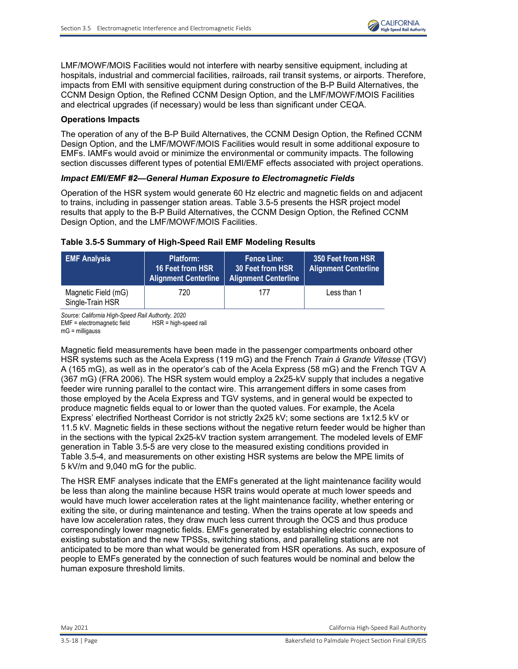

LMF/MOWF/MOIS Facilities would not interfere with nearby sensitive equipment, including at hospitals, industrial and commercial facilities, railroads, rail transit systems, or airports. Therefore, impacts from EMI with sensitive equipment during construction of the B-P Build Alternatives, the CCNM Design Option, the Refined CCNM Design Option, and the LMF/MOWF/MOIS Facilities and electrical upgrades (if necessary) would be less than significant under CEQA.

### **Operations Impacts**

The operation of any of the B-P Build Alternatives, the CCNM Design Option, the Refined CCNM Design Option, and the LMF/MOWF/MOIS Facilities would result in some additional exposure to EMFs. IAMFs would avoid or minimize the environmental or community impacts. The following section discusses different types of potential EMI/EMF effects associated with project operations.

### *Impact EMI/EMF #2—General Human Exposure to Electromagnetic Fields*

Operation of the HSR system would generate 60 Hz electric and magnetic fields on and adjacent to trains, including in passenger station areas. [Table 3.5-5](#page-17-0) presents the HSR project model results that apply to the B-P Build Alternatives, the CCNM Design Option, the Refined CCNM Design Option, and the LMF/MOWF/MOIS Facilities.

### <span id="page-17-0"></span>**Table 3.5-5 Summary of High-Speed Rail EMF Modeling Results**

| <b>EMF Analysis</b>                     | Platform:<br>16 Feet from HSR<br><b>Alignment Centerline</b> | <b>Fence Line:</b><br>30 Feet from HSR<br><b>Alignment Centerline</b> | 350 Feet from HSR<br><b>Alignment Centerline</b> |
|-----------------------------------------|--------------------------------------------------------------|-----------------------------------------------------------------------|--------------------------------------------------|
| Magnetic Field (mG)<br>Single-Train HSR | 720                                                          | 177                                                                   | Less than 1                                      |

*Source: California High-Speed Rail Authority, 2020*  $EMF =$  electromagnetic field mG = milligauss

Magnetic field measurements have been made in the passenger compartments onboard other HSR systems such as the Acela Express (119 mG) and the French *Train à Grande Vitesse* (TGV) A (165 mG), as well as in the operator's cab of the Acela Express (58 mG) and the French TGV A (367 mG) (FRA 2006). The HSR system would employ a 2x25-kV supply that includes a negative feeder wire running parallel to the contact wire. This arrangement differs in some cases from those employed by the Acela Express and TGV systems, and in general would be expected to produce magnetic fields equal to or lower than the quoted values. For example, the Acela Express' electrified Northeast Corridor is not strictly 2x25 kV; some sections are 1x12.5 kV or 11.5 kV. Magnetic fields in these sections without the negative return feeder would be higher than in the sections with the typical 2x25-kV traction system arrangement. The modeled levels of EMF generation in [Table 3.5-5](#page-17-0) are very close to the measured existing conditions provided in Table [3.5-4,](#page-12-0) and measurements on other existing HSR systems are below the MPE limits of 5 kV/m and 9,040 mG for the public.

The HSR EMF analyses indicate that the EMFs generated at the light maintenance facility would be less than along the mainline because HSR trains would operate at much lower speeds and would have much lower acceleration rates at the light maintenance facility, whether entering or exiting the site, or during maintenance and testing. When the trains operate at low speeds and have low acceleration rates, they draw much less current through the OCS and thus produce correspondingly lower magnetic fields. EMFs generated by establishing electric connections to existing substation and the new TPSSs, switching stations, and paralleling stations are not anticipated to be more than what would be generated from HSR operations. As such, exposure of people to EMFs generated by the connection of such features would be nominal and below the human exposure threshold limits.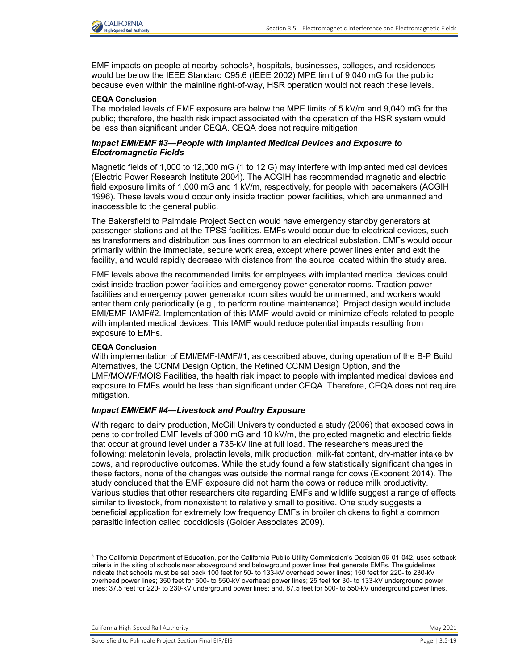

EMF impacts on people at nearby schools<sup>[5](#page-18-0)</sup>, hospitals, businesses, colleges, and residences would be below the IEEE Standard C95.6 (IEEE 2002) MPE limit of 9,040 mG for the public because even within the mainline right-of-way, HSR operation would not reach these levels.

#### **CEQA Conclusion**

The modeled levels of EMF exposure are below the MPE limits of 5 kV/m and 9,040 mG for the public; therefore, the health risk impact associated with the operation of the HSR system would be less than significant under CEQA. CEQA does not require mitigation.

### *Impact EMI/EMF #3—People with Implanted Medical Devices and Exposure to Electromagnetic Fields*

Magnetic fields of 1,000 to 12,000 mG (1 to 12 G) may interfere with implanted medical devices (Electric Power Research Institute 2004). The ACGIH has recommended magnetic and electric field exposure limits of 1,000 mG and 1 kV/m, respectively, for people with pacemakers (ACGIH 1996). These levels would occur only inside traction power facilities, which are unmanned and inaccessible to the general public.

The Bakersfield to Palmdale Project Section would have emergency standby generators at passenger stations and at the TPSS facilities. EMFs would occur due to electrical devices, such as transformers and distribution bus lines common to an electrical substation. EMFs would occur primarily within the immediate, secure work area, except where power lines enter and exit the facility, and would rapidly decrease with distance from the source located within the study area.

EMF levels above the recommended limits for employees with implanted medical devices could exist inside traction power facilities and emergency power generator rooms. Traction power facilities and emergency power generator room sites would be unmanned, and workers would enter them only periodically (e.g., to perform routine maintenance). Project design would include EMI/EMF-IAMF#2. Implementation of this IAMF would avoid or minimize effects related to people with implanted medical devices. This IAMF would reduce potential impacts resulting from exposure to EMFs.

#### **CEQA Conclusion**

With implementation of EMI/EMF-IAMF#1, as described above, during operation of the B-P Build Alternatives, the CCNM Design Option, the Refined CCNM Design Option, and the LMF/MOWF/MOIS Facilities, the health risk impact to people with implanted medical devices and exposure to EMFs would be less than significant under CEQA. Therefore, CEQA does not require mitigation.

### *Impact EMI/EMF #4—Livestock and Poultry Exposure*

With regard to dairy production, McGill University conducted a study (2006) that exposed cows in pens to controlled EMF levels of 300 mG and 10 kV/m, the projected magnetic and electric fields that occur at ground level under a 735-kV line at full load. The researchers measured the following: melatonin levels, prolactin levels, milk production, milk-fat content, dry-matter intake by cows, and reproductive outcomes. While the study found a few statistically significant changes in these factors, none of the changes was outside the normal range for cows (Exponent 2014). The study concluded that the EMF exposure did not harm the cows or reduce milk productivity. Various studies that other researchers cite regarding EMFs and wildlife suggest a range of effects similar to livestock, from nonexistent to relatively small to positive. One study suggests a beneficial application for extremely low frequency EMFs in broiler chickens to fight a common parasitic infection called coccidiosis (Golder Associates 2009).

California High-Speed Rail Authority May 2021 **May 2021** 

 $\overline{a}$ 

<span id="page-18-0"></span> $^{\rm 5}$  The California Department of Education, per the California Public Utility Commission's Decision 06-01-042, uses setback criteria in the siting of schools near aboveground and belowground power lines that generate EMFs. The guidelines indicate that schools must be set back 100 feet for 50- to 133-kV overhead power lines; 150 feet for 220- to 230-kV overhead power lines; 350 feet for 500- to 550-kV overhead power lines; 25 feet for 30- to 133-kV underground power lines; 37.5 feet for 220- to 230-kV underground power lines; and, 87.5 feet for 500- to 550-kV underground power lines.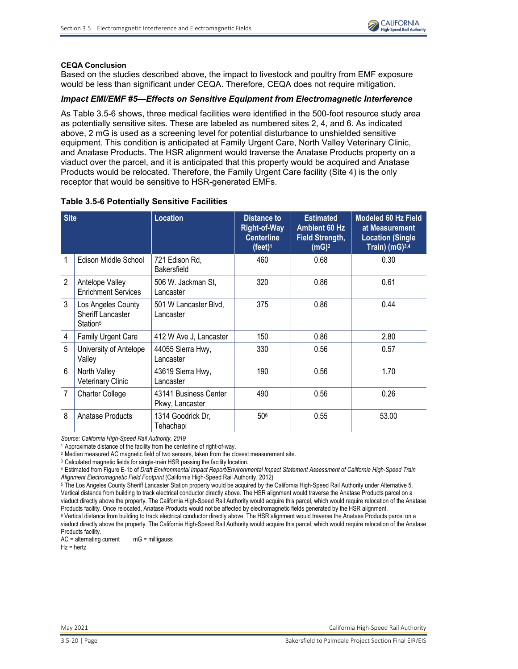

#### **CEQA Conclusion**

Based on the studies described above, the impact to livestock and poultry from EMF exposure would be less than significant under CEQA. Therefore, CEQA does not require mitigation.

### *Impact EMI/EMF #5—Effects on Sensitive Equipment from Electromagnetic Interference*

As [Table 3.5-6](#page-19-0) shows, three medical facilities were identified in the 500-foot resource study area as potentially sensitive sites. These are labeled as numbered sites 2, 4, and 6. As indicated above, 2 mG is used as a screening level for potential disturbance to unshielded sensitive equipment. This condition is anticipated at Family Urgent Care, North Valley Veterinary Clinic, and Anatase Products. The HSR alignment would traverse the Anatase Products property on a viaduct over the parcel, and it is anticipated that this property would be acquired and Anatase Products would be relocated. Therefore, the Family Urgent Care facility (Site 4) is the only receptor that would be sensitive to HSR-generated EMFs.

| <b>Site</b>     |                                                                        | Location                                 |     | <b>Estimated</b><br><b>Ambient 60 Hz</b><br><b>Field Strength,</b><br>(mG) <sup>2</sup> | <b>Modeled 60 Hz Field</b><br>at Measurement<br><b>Location (Single</b><br>Train) $(mG)^{3,4}$ |
|-----------------|------------------------------------------------------------------------|------------------------------------------|-----|-----------------------------------------------------------------------------------------|------------------------------------------------------------------------------------------------|
| 1               | Edison Middle School                                                   | 721 Edison Rd,<br>Bakersfield            | 460 | 0.68                                                                                    | 0.30                                                                                           |
| $\mathfrak{p}$  | Antelope Valley<br><b>Enrichment Services</b>                          | 506 W. Jackman St,<br>Lancaster          | 320 | 0.86                                                                                    | 0.61                                                                                           |
| $\mathcal{S}$   | Los Angeles County<br><b>Sheriff Lancaster</b><br>Station <sup>5</sup> | 501 W Lancaster Blvd,<br>Lancaster       | 375 | 0.86                                                                                    | 0.44                                                                                           |
| 4               | Family Urgent Care                                                     | 412 W Ave J, Lancaster                   | 150 | 0.86                                                                                    | 2.80                                                                                           |
| 5               | University of Antelope<br>Valley                                       | 44055 Sierra Hwy,<br>Lancaster           | 330 | 0.56                                                                                    | 0.57                                                                                           |
| $6\phantom{1}6$ | North Valley<br><b>Veterinary Clinic</b>                               | 43619 Sierra Hwy,<br>Lancaster           | 190 | 0.56                                                                                    | 1.70                                                                                           |
| $\overline{7}$  | <b>Charter College</b>                                                 | 43141 Business Center<br>Pkwy, Lancaster | 490 | 0.56                                                                                    | 0.26                                                                                           |
| 8               | Anatase Products                                                       | 1314 Goodrick Dr.<br>Tehachapi           | 506 | 0.55                                                                                    | 53.00                                                                                          |

#### <span id="page-19-0"></span>**Table 3.5-6 Potentially Sensitive Facilities**

*Source: California High-Speed Rail Authority, 2019*

<sup>2</sup> Median measured AC magnetic field of two sensors, taken from the closest measurement site.

<sup>3</sup> Calculated magnetic fields for single-train HSR passing the facility location.

4 Estimated from Figure E-1b of *Draft Environmental Impact Report/Environmental Impact Statement Assessment of California High-Speed Train Alignment Electromagnetic Field Footprint* (California High-Speed Rail Authority, 2012)

5 The Los Angeles County Sheriff Lancaster Station property would be acquired by the California High-Speed Rail Authority under Alternative 5. Vertical distance from building to track electrical conductor directly above. The HSR alignment would traverse the Anatase Products parcel on a viaduct directly above the property. The California High-Speed Rail Authority would acquire this parcel, which would require relocation of the Anatase Products facility. Once relocated, Anatase Products would not be affected by electromagnetic fields generated by the HSR alignment.

<sup>6</sup> Vertical distance from building to track electrical conductor directly above. The HSR alignment would traverse the Anatase Products parcel on a viaduct directly above the property. The California High-Speed Rail Authority would acquire this parcel, which would require relocation of the Anatase Products facility.

AC = alternating current mG = milligauss

 $Hz = hertz$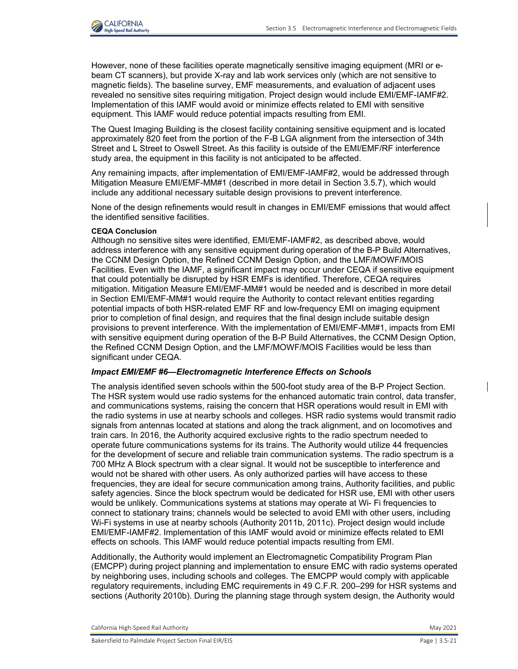

However, none of these facilities operate magnetically sensitive imaging equipment (MRI or ebeam CT scanners), but provide X-ray and lab work services only (which are not sensitive to magnetic fields). The baseline survey, EMF measurements, and evaluation of adjacent uses revealed no sensitive sites requiring mitigation. Project design would include EMI/EMF-IAMF#2. Implementation of this IAMF would avoid or minimize effects related to EMI with sensitive equipment. This IAMF would reduce potential impacts resulting from EMI.

The Quest Imaging Building is the closest facility containing sensitive equipment and is located approximately 820 feet from the portion of the F-B LGA alignment from the intersection of 34th Street and L Street to Oswell Street. As this facility is outside of the EMI/EMF/RF interference study area, the equipment in this facility is not anticipated to be affected.

Any remaining impacts, after implementation of EMI/EMF-IAMF#2, would be addressed through Mitigation Measure EMI/EMF-MM#1 (described in more detail in Section 3.5.7), which would include any additional necessary suitable design provisions to prevent interference.

None of the design refinements would result in changes in EMI/EMF emissions that would affect the identified sensitive facilities.

### **CEQA Conclusion**

Although no sensitive sites were identified, EMI/EMF-IAMF#2, as described above, would address interference with any sensitive equipment during operation of the B-P Build Alternatives, the CCNM Design Option, the Refined CCNM Design Option, and the LMF/MOWF/MOIS Facilities. Even with the IAMF, a significant impact may occur under CEQA if sensitive equipment that could potentially be disrupted by HSR EMFs is identified. Therefore, CEQA requires mitigation. Mitigation Measure EMI/EMF-MM#1 would be needed and is described in more detail in Section EMI/EMF-MM#1 would require the Authority to contact relevant entities regarding potential impacts of both HSR-related EMF RF and low-frequency EMI on imaging equipment prior to completion of final design, and requires that the final design include suitable design provisions to prevent interference. With the implementation of EMI/EMF-MM#1, impacts from EMI with sensitive equipment during operation of the B-P Build Alternatives, the CCNM Design Option, the Refined CCNM Design Option, and the LMF/MOWF/MOIS Facilities would be less than significant under CEQA.

### *Impact EMI/EMF #6—Electromagnetic Interference Effects on Schools*

The analysis identified seven schools within the 500-foot study area of the B-P Project Section. The HSR system would use radio systems for the enhanced automatic train control, data transfer, and communications systems, raising the concern that HSR operations would result in EMI with the radio systems in use at nearby schools and colleges. HSR radio systems would transmit radio signals from antennas located at stations and along the track alignment, and on locomotives and train cars. In 2016, the Authority acquired exclusive rights to the radio spectrum needed to operate future communications systems for its trains. The Authority would utilize 44 frequencies for the development of secure and reliable train communication systems. The radio spectrum is a 700 MHz A Block spectrum with a clear signal. It would not be susceptible to interference and would not be shared with other users. As only authorized parties will have access to these frequencies, they are ideal for secure communication among trains, Authority facilities, and public safety agencies. Since the block spectrum would be dedicated for HSR use, EMI with other users would be unlikely. Communications systems at stations may operate at Wi- Fi frequencies to connect to stationary trains; channels would be selected to avoid EMI with other users, including Wi-Fi systems in use at nearby schools (Authority 2011b, 2011c). Project design would include EMI/EMF-IAMF#2. Implementation of this IAMF would avoid or minimize effects related to EMI effects on schools. This IAMF would reduce potential impacts resulting from EMI.

Additionally, the Authority would implement an Electromagnetic Compatibility Program Plan (EMCPP) during project planning and implementation to ensure EMC with radio systems operated by neighboring uses, including schools and colleges. The EMCPP would comply with applicable regulatory requirements, including EMC requirements in 49 C.F.R. 200–299 for HSR systems and sections (Authority 2010b). During the planning stage through system design, the Authority would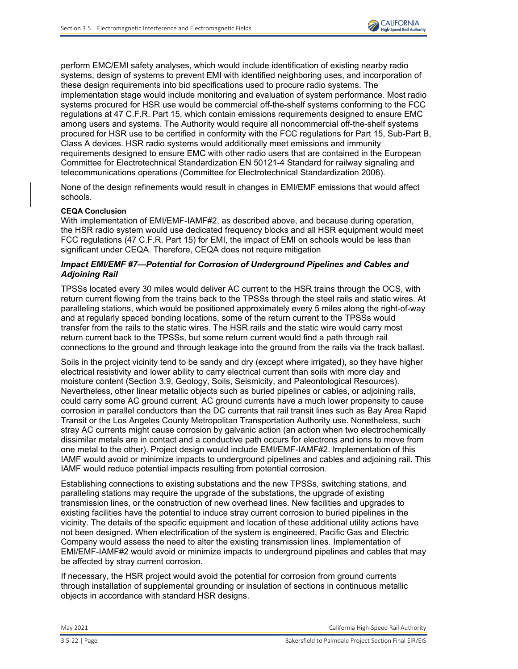perform EMC/EMI safety analyses, which would include identification of existing nearby radio systems, design of systems to prevent EMI with identified neighboring uses, and incorporation of these design requirements into bid specifications used to procure radio systems. The implementation stage would include monitoring and evaluation of system performance. Most radio systems procured for HSR use would be commercial off-the-shelf systems conforming to the FCC regulations at 47 C.F.R. Part 15, which contain emissions requirements designed to ensure EMC among users and systems. The Authority would require all noncommercial off-the-shelf systems procured for HSR use to be certified in conformity with the FCC regulations for Part 15, Sub-Part B, Class A devices. HSR radio systems would additionally meet emissions and immunity requirements designed to ensure EMC with other radio users that are contained in the European Committee for Electrotechnical Standardization EN 50121-4 Standard for railway signaling and telecommunications operations (Committee for Electrotechnical Standardization 2006).

None of the design refinements would result in changes in EMI/EMF emissions that would affect schools.

### **CEQA Conclusion**

With implementation of EMI/EMF-IAMF#2, as described above, and because during operation, the HSR radio system would use dedicated frequency blocks and all HSR equipment would meet FCC regulations (47 C.F.R. Part 15) for EMI, the impact of EMI on schools would be less than significant under CEQA. Therefore, CEQA does not require mitigation

### *Impact EMI/EMF #7—Potential for Corrosion of Underground Pipelines and Cables and Adjoining Rail*

TPSSs located every 30 miles would deliver AC current to the HSR trains through the OCS, with return current flowing from the trains back to the TPSSs through the steel rails and static wires. At paralleling stations, which would be positioned approximately every 5 miles along the right-of-way and at regularly spaced bonding locations, some of the return current to the TPSSs would transfer from the rails to the static wires. The HSR rails and the static wire would carry most return current back to the TPSSs, but some return current would find a path through rail connections to the ground and through leakage into the ground from the rails via the track ballast.

Soils in the project vicinity tend to be sandy and dry (except where irrigated), so they have higher electrical resistivity and lower ability to carry electrical current than soils with more clay and moisture content (Section 3.9, Geology, Soils, Seismicity, and Paleontological Resources). Nevertheless, other linear metallic objects such as buried pipelines or cables, or adjoining rails, could carry some AC ground current. AC ground currents have a much lower propensity to cause corrosion in parallel conductors than the DC currents that rail transit lines such as Bay Area Rapid Transit or the Los Angeles County Metropolitan Transportation Authority use. Nonetheless, such stray AC currents might cause corrosion by galvanic action (an action when two electrochemically dissimilar metals are in contact and a conductive path occurs for electrons and ions to move from one metal to the other). Project design would include EMI/EMF-IAMF#2. Implementation of this IAMF would avoid or minimize impacts to underground pipelines and cables and adjoining rail. This IAMF would reduce potential impacts resulting from potential corrosion.

Establishing connections to existing substations and the new TPSSs, switching stations, and paralleling stations may require the upgrade of the substations, the upgrade of existing transmission lines, or the construction of new overhead lines. New facilities and upgrades to existing facilities have the potential to induce stray current corrosion to buried pipelines in the vicinity. The details of the specific equipment and location of these additional utility actions have not been designed. When electrification of the system is engineered, Pacific Gas and Electric Company would assess the need to alter the existing transmission lines. Implementation of EMI/EMF-IAMF#2 would avoid or minimize impacts to underground pipelines and cables that may be affected by stray current corrosion.

If necessary, the HSR project would avoid the potential for corrosion from ground currents through installation of supplemental grounding or insulation of sections in continuous metallic objects in accordance with standard HSR designs.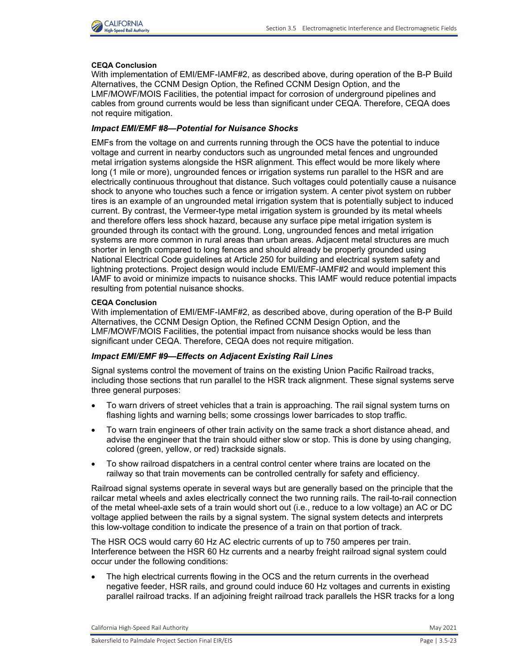

### **CEQA Conclusion**

With implementation of EMI/EMF-IAMF#2, as described above, during operation of the B-P Build Alternatives, the CCNM Design Option, the Refined CCNM Design Option, and the LMF/MOWF/MOIS Facilities, the potential impact for corrosion of underground pipelines and cables from ground currents would be less than significant under CEQA. Therefore, CEQA does not require mitigation.

### *Impact EMI/EMF #8—Potential for Nuisance Shocks*

EMFs from the voltage on and currents running through the OCS have the potential to induce voltage and current in nearby conductors such as ungrounded metal fences and ungrounded metal irrigation systems alongside the HSR alignment. This effect would be more likely where long (1 mile or more), ungrounded fences or irrigation systems run parallel to the HSR and are electrically continuous throughout that distance. Such voltages could potentially cause a nuisance shock to anyone who touches such a fence or irrigation system. A center pivot system on rubber tires is an example of an ungrounded metal irrigation system that is potentially subject to induced current. By contrast, the Vermeer-type metal irrigation system is grounded by its metal wheels and therefore offers less shock hazard, because any surface pipe metal irrigation system is grounded through its contact with the ground. Long, ungrounded fences and metal irrigation systems are more common in rural areas than urban areas. Adjacent metal structures are much shorter in length compared to long fences and should already be properly grounded using National Electrical Code guidelines at Article 250 for building and electrical system safety and lightning protections. Project design would include EMI/EMF-IAMF#2 and would implement this IAMF to avoid or minimize impacts to nuisance shocks. This IAMF would reduce potential impacts resulting from potential nuisance shocks.

#### **CEQA Conclusion**

With implementation of EMI/EMF-IAMF#2, as described above, during operation of the B-P Build Alternatives, the CCNM Design Option, the Refined CCNM Design Option, and the LMF/MOWF/MOIS Facilities, the potential impact from nuisance shocks would be less than significant under CEQA. Therefore, CEQA does not require mitigation.

### *Impact EMI/EMF #9—Effects on Adjacent Existing Rail Lines*

Signal systems control the movement of trains on the existing Union Pacific Railroad tracks, including those sections that run parallel to the HSR track alignment. These signal systems serve three general purposes:

- To warn drivers of street vehicles that a train is approaching. The rail signal system turns on flashing lights and warning bells; some crossings lower barricades to stop traffic.
- To warn train engineers of other train activity on the same track a short distance ahead, and advise the engineer that the train should either slow or stop. This is done by using changing, colored (green, yellow, or red) trackside signals.
- To show railroad dispatchers in a central control center where trains are located on the railway so that train movements can be controlled centrally for safety and efficiency.

Railroad signal systems operate in several ways but are generally based on the principle that the railcar metal wheels and axles electrically connect the two running rails. The rail-to-rail connection of the metal wheel-axle sets of a train would short out (i.e., reduce to a low voltage) an AC or DC voltage applied between the rails by a signal system. The signal system detects and interprets this low-voltage condition to indicate the presence of a train on that portion of track.

The HSR OCS would carry 60 Hz AC electric currents of up to 750 amperes per train. Interference between the HSR 60 Hz currents and a nearby freight railroad signal system could occur under the following conditions:

The high electrical currents flowing in the OCS and the return currents in the overhead negative feeder, HSR rails, and ground could induce 60 Hz voltages and currents in existing parallel railroad tracks. If an adjoining freight railroad track parallels the HSR tracks for a long

California High-Speed Rail Authority May 2021 **May 2021**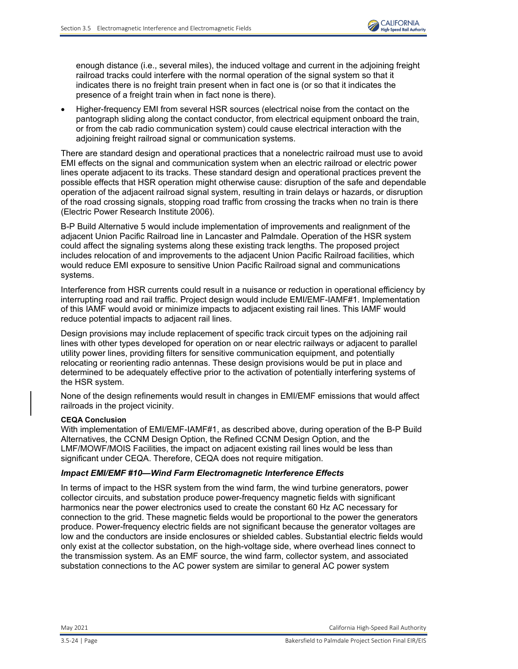

enough distance (i.e., several miles), the induced voltage and current in the adjoining freight railroad tracks could interfere with the normal operation of the signal system so that it indicates there is no freight train present when in fact one is (or so that it indicates the presence of a freight train when in fact none is there).

• Higher-frequency EMI from several HSR sources (electrical noise from the contact on the pantograph sliding along the contact conductor, from electrical equipment onboard the train, or from the cab radio communication system) could cause electrical interaction with the adjoining freight railroad signal or communication systems.

There are standard design and operational practices that a nonelectric railroad must use to avoid EMI effects on the signal and communication system when an electric railroad or electric power lines operate adjacent to its tracks. These standard design and operational practices prevent the possible effects that HSR operation might otherwise cause: disruption of the safe and dependable operation of the adjacent railroad signal system, resulting in train delays or hazards, or disruption of the road crossing signals, stopping road traffic from crossing the tracks when no train is there (Electric Power Research Institute 2006).

B-P Build Alternative 5 would include implementation of improvements and realignment of the adjacent Union Pacific Railroad line in Lancaster and Palmdale. Operation of the HSR system could affect the signaling systems along these existing track lengths. The proposed project includes relocation of and improvements to the adjacent Union Pacific Railroad facilities, which would reduce EMI exposure to sensitive Union Pacific Railroad signal and communications systems.

Interference from HSR currents could result in a nuisance or reduction in operational efficiency by interrupting road and rail traffic. Project design would include EMI/EMF-IAMF#1. Implementation of this IAMF would avoid or minimize impacts to adjacent existing rail lines. This IAMF would reduce potential impacts to adjacent rail lines.

Design provisions may include replacement of specific track circuit types on the adjoining rail lines with other types developed for operation on or near electric railways or adjacent to parallel utility power lines, providing filters for sensitive communication equipment, and potentially relocating or reorienting radio antennas. These design provisions would be put in place and determined to be adequately effective prior to the activation of potentially interfering systems of the HSR system.

None of the design refinements would result in changes in EMI/EMF emissions that would affect railroads in the project vicinity.

#### **CEQA Conclusion**

With implementation of EMI/EMF-IAMF#1, as described above, during operation of the B-P Build Alternatives, the CCNM Design Option, the Refined CCNM Design Option, and the LMF/MOWF/MOIS Facilities, the impact on adjacent existing rail lines would be less than significant under CEQA. Therefore, CEQA does not require mitigation.

#### *Impact EMI/EMF #10—Wind Farm Electromagnetic Interference Effects*

In terms of impact to the HSR system from the wind farm, the wind turbine generators, power collector circuits, and substation produce power-frequency magnetic fields with significant harmonics near the power electronics used to create the constant 60 Hz AC necessary for connection to the grid. These magnetic fields would be proportional to the power the generators produce. Power-frequency electric fields are not significant because the generator voltages are low and the conductors are inside enclosures or shielded cables. Substantial electric fields would only exist at the collector substation, on the high-voltage side, where overhead lines connect to the transmission system. As an EMF source, the wind farm, collector system, and associated substation connections to the AC power system are similar to general AC power system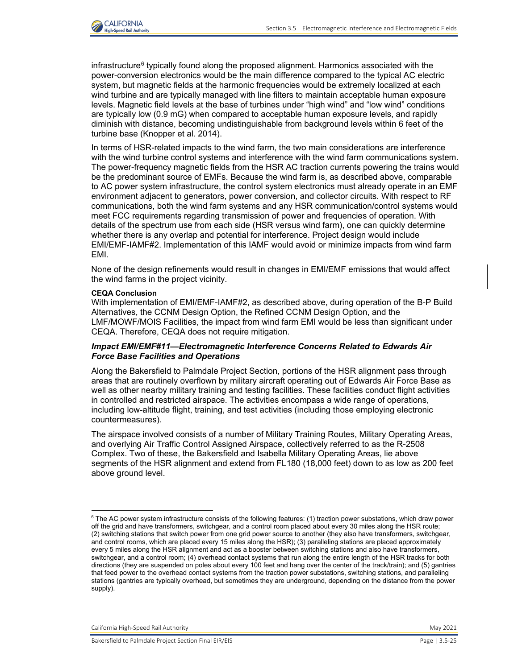

infrastructure $^6$  typically found along the proposed alignment. Harmonics associated with the power-conversion electronics would be the main difference compared to the typical AC electric system, but magnetic fields at the harmonic frequencies would be extremely localized at each wind turbine and are typically managed with line filters to maintain acceptable human exposure levels. Magnetic field levels at the base of turbines under "high wind" and "low wind" conditions are typically low (0.9 mG) when compared to acceptable human exposure levels, and rapidly diminish with distance, becoming undistinguishable from background levels within 6 feet of the turbine base (Knopper et al. 2014).

In terms of HSR-related impacts to the wind farm, the two main considerations are interference with the wind turbine control systems and interference with the wind farm communications system. The power-frequency magnetic fields from the HSR AC traction currents powering the trains would be the predominant source of EMFs. Because the wind farm is, as described above, comparable to AC power system infrastructure, the control system electronics must already operate in an EMF environment adjacent to generators, power conversion, and collector circuits. With respect to RF communications, both the wind farm systems and any HSR communication/control systems would meet FCC requirements regarding transmission of power and frequencies of operation. With details of the spectrum use from each side (HSR versus wind farm), one can quickly determine whether there is any overlap and potential for interference. Project design would include EMI/EMF-IAMF#2. Implementation of this IAMF would avoid or minimize impacts from wind farm EMI.

None of the design refinements would result in changes in EMI/EMF emissions that would affect the wind farms in the project vicinity.

#### **CEQA Conclusion**

With implementation of EMI/EMF-IAMF#2, as described above, during operation of the B-P Build Alternatives, the CCNM Design Option, the Refined CCNM Design Option, and the LMF/MOWF/MOIS Facilities, the impact from wind farm EMI would be less than significant under CEQA. Therefore, CEQA does not require mitigation.

#### *Impact EMI/EMF#11—Electromagnetic Interference Concerns Related to Edwards Air Force Base Facilities and Operations*

Along the Bakersfield to Palmdale Project Section, portions of the HSR alignment pass through areas that are routinely overflown by military aircraft operating out of Edwards Air Force Base as well as other nearby military training and testing facilities. These facilities conduct flight activities in controlled and restricted airspace. The activities encompass a wide range of operations, including low-altitude flight, training, and test activities (including those employing electronic countermeasures).

The airspace involved consists of a number of Military Training Routes, Military Operating Areas, and overlying Air Traffic Control Assigned Airspace, collectively referred to as the R-2508 Complex. Two of these, the Bakersfield and Isabella Military Operating Areas, lie above segments of the HSR alignment and extend from FL180 (18,000 feet) down to as low as 200 feet above ground level.

California High-Speed Rail Authority May 2021 and Separate School and School and School and School and School and School and School and School and School and School and School and School and School and School and School an

 $^6$  The AC power system infrastructure consists of the following features: (1) traction power substations, which draw power off the grid and have transformers, switchgear, and a control room placed about every 30 miles along the HSR route; (2) switching stations that switch power from one grid power source to another (they also have transformers, switchgear, and control rooms, which are placed every 15 miles along the HSR); (3) paralleling stations are placed approximately every 5 miles along the HSR alignment and act as a booster between switching stations and also have transformers, switchgear, and a control room; (4) overhead contact systems that run along the entire length of the HSR tracks for both directions (they are suspended on poles about every 100 feet and hang over the center of the track/train); and (5) gantries that feed power to the overhead contact systems from the traction power substations, switching stations, and paralleling stations (gantries are typically overhead, but sometimes they are underground, depending on the distance from the power supply).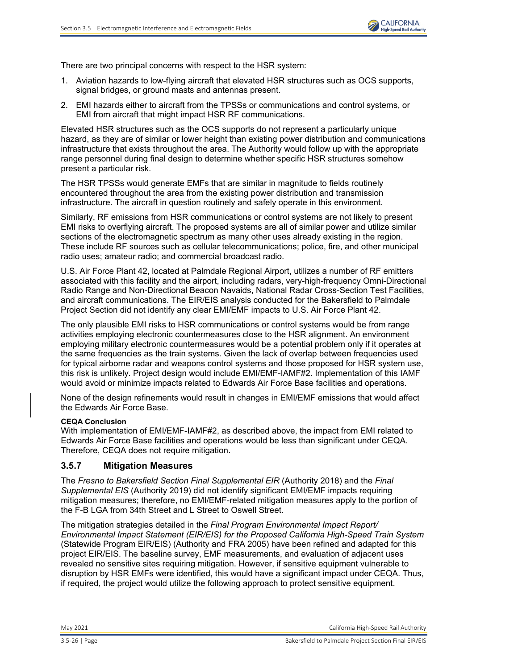There are two principal concerns with respect to the HSR system:

- 1. Aviation hazards to low-flying aircraft that elevated HSR structures such as OCS supports, signal bridges, or ground masts and antennas present.
- 2. EMI hazards either to aircraft from the TPSSs or communications and control systems, or EMI from aircraft that might impact HSR RF communications.

Elevated HSR structures such as the OCS supports do not represent a particularly unique hazard, as they are of similar or lower height than existing power distribution and communications infrastructure that exists throughout the area. The Authority would follow up with the appropriate range personnel during final design to determine whether specific HSR structures somehow present a particular risk.

The HSR TPSSs would generate EMFs that are similar in magnitude to fields routinely encountered throughout the area from the existing power distribution and transmission infrastructure. The aircraft in question routinely and safely operate in this environment.

Similarly, RF emissions from HSR communications or control systems are not likely to present EMI risks to overflying aircraft. The proposed systems are all of similar power and utilize similar sections of the electromagnetic spectrum as many other uses already existing in the region. These include RF sources such as cellular telecommunications; police, fire, and other municipal radio uses; amateur radio; and commercial broadcast radio.

U.S. Air Force Plant 42, located at Palmdale Regional Airport, utilizes a number of RF emitters associated with this facility and the airport, including radars, very-high-frequency Omni-Directional Radio Range and Non-Directional Beacon Navaids, National Radar Cross-Section Test Facilities, and aircraft communications. The EIR/EIS analysis conducted for the Bakersfield to Palmdale Project Section did not identify any clear EMI/EMF impacts to U.S. Air Force Plant 42.

The only plausible EMI risks to HSR communications or control systems would be from range activities employing electronic countermeasures close to the HSR alignment. An environment employing military electronic countermeasures would be a potential problem only if it operates at the same frequencies as the train systems. Given the lack of overlap between frequencies used for typical airborne radar and weapons control systems and those proposed for HSR system use, this risk is unlikely. Project design would include EMI/EMF-IAMF#2. Implementation of this IAMF would avoid or minimize impacts related to Edwards Air Force Base facilities and operations.

None of the design refinements would result in changes in EMI/EMF emissions that would affect the Edwards Air Force Base.

### **CEQA Conclusion**

With implementation of EMI/EMF-IAMF#2, as described above, the impact from EMI related to Edwards Air Force Base facilities and operations would be less than significant under CEQA. Therefore, CEQA does not require mitigation.

### **3.5.7 Mitigation Measures**

The *Fresno to Bakersfield Section Final Supplemental EIR* (Authority 2018) and the *Final Supplemental EIS* (Authority 2019) did not identify significant EMI/EMF impacts requiring mitigation measures; therefore, no EMI/EMF-related mitigation measures apply to the portion of the F-B LGA from 34th Street and L Street to Oswell Street.

The mitigation strategies detailed in the *Final Program Environmental Impact Report/ Environmental Impact Statement (EIR/EIS) for the Proposed California High-Speed Train System* (Statewide Program EIR/EIS) (Authority and FRA 2005) have been refined and adapted for this project EIR/EIS. The baseline survey, EMF measurements, and evaluation of adjacent uses revealed no sensitive sites requiring mitigation. However, if sensitive equipment vulnerable to disruption by HSR EMFs were identified, this would have a significant impact under CEQA. Thus, if required, the project would utilize the following approach to protect sensitive equipment.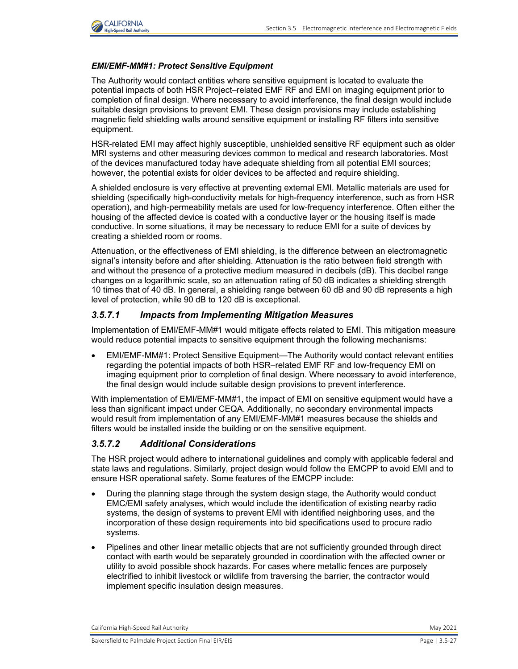

### *EMI/EMF-MM#1: Protect Sensitive Equipment*

The Authority would contact entities where sensitive equipment is located to evaluate the potential impacts of both HSR Project–related EMF RF and EMI on imaging equipment prior to completion of final design. Where necessary to avoid interference, the final design would include suitable design provisions to prevent EMI. These design provisions may include establishing magnetic field shielding walls around sensitive equipment or installing RF filters into sensitive equipment.

HSR-related EMI may affect highly susceptible, unshielded sensitive RF equipment such as older MRI systems and other measuring devices common to medical and research laboratories. Most of the devices manufactured today have adequate shielding from all potential EMI sources; however, the potential exists for older devices to be affected and require shielding.

A shielded enclosure is very effective at preventing external EMI. Metallic materials are used for shielding (specifically high-conductivity metals for high-frequency interference, such as from HSR operation), and high-permeability metals are used for low-frequency interference. Often either the housing of the affected device is coated with a conductive layer or the housing itself is made conductive. In some situations, it may be necessary to reduce EMI for a suite of devices by creating a shielded room or rooms.

Attenuation, or the effectiveness of EMI shielding, is the difference between an electromagnetic signal's intensity before and after shielding. Attenuation is the ratio between field strength with and without the presence of a protective medium measured in decibels (dB). This decibel range changes on a logarithmic scale, so an attenuation rating of 50 dB indicates a shielding strength 10 times that of 40 dB. In general, a shielding range between 60 dB and 90 dB represents a high level of protection, while 90 dB to 120 dB is exceptional.

### *3.5.7.1 Impacts from Implementing Mitigation Measures*

Implementation of EMI/EMF-MM#1 would mitigate effects related to EMI. This mitigation measure would reduce potential impacts to sensitive equipment through the following mechanisms:

• EMI/EMF-MM#1: Protect Sensitive Equipment—The Authority would contact relevant entities regarding the potential impacts of both HSR–related EMF RF and low-frequency EMI on imaging equipment prior to completion of final design. Where necessary to avoid interference, the final design would include suitable design provisions to prevent interference.

With implementation of EMI/EMF-MM#1, the impact of EMI on sensitive equipment would have a less than significant impact under CEQA. Additionally, no secondary environmental impacts would result from implementation of any EMI/EMF-MM#1 measures because the shields and filters would be installed inside the building or on the sensitive equipment.

## *3.5.7.2 Additional Considerations*

The HSR project would adhere to international guidelines and comply with applicable federal and state laws and regulations. Similarly, project design would follow the EMCPP to avoid EMI and to ensure HSR operational safety. Some features of the EMCPP include:

- During the planning stage through the system design stage, the Authority would conduct EMC/EMI safety analyses, which would include the identification of existing nearby radio systems, the design of systems to prevent EMI with identified neighboring uses, and the incorporation of these design requirements into bid specifications used to procure radio systems.
- Pipelines and other linear metallic objects that are not sufficiently grounded through direct contact with earth would be separately grounded in coordination with the affected owner or utility to avoid possible shock hazards. For cases where metallic fences are purposely electrified to inhibit livestock or wildlife from traversing the barrier, the contractor would implement specific insulation design measures.

California High-Speed Rail Authority May 2021 and Separate Research May 2021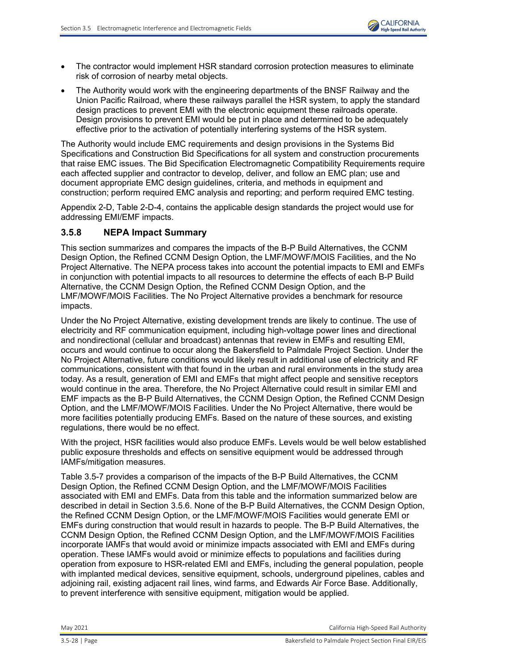

- The contractor would implement HSR standard corrosion protection measures to eliminate risk of corrosion of nearby metal objects.
- The Authority would work with the engineering departments of the BNSF Railway and the Union Pacific Railroad, where these railways parallel the HSR system, to apply the standard design practices to prevent EMI with the electronic equipment these railroads operate. Design provisions to prevent EMI would be put in place and determined to be adequately effective prior to the activation of potentially interfering systems of the HSR system.

The Authority would include EMC requirements and design provisions in the Systems Bid Specifications and Construction Bid Specifications for all system and construction procurements that raise EMC issues. The Bid Specification Electromagnetic Compatibility Requirements require each affected supplier and contractor to develop, deliver, and follow an EMC plan; use and document appropriate EMC design guidelines, criteria, and methods in equipment and construction; perform required EMC analysis and reporting; and perform required EMC testing.

Appendix 2-D, Table 2-D-4, contains the applicable design standards the project would use for addressing EMI/EMF impacts.

## **3.5.8 NEPA Impact Summary**

This section summarizes and compares the impacts of the B-P Build Alternatives, the CCNM Design Option, the Refined CCNM Design Option, the LMF/MOWF/MOIS Facilities, and the No Project Alternative. The NEPA process takes into account the potential impacts to EMI and EMFs in conjunction with potential impacts to all resources to determine the effects of each B-P Build Alternative, the CCNM Design Option, the Refined CCNM Design Option, and the LMF/MOWF/MOIS Facilities. The No Project Alternative provides a benchmark for resource impacts.

Under the No Project Alternative, existing development trends are likely to continue. The use of electricity and RF communication equipment, including high-voltage power lines and directional and nondirectional (cellular and broadcast) antennas that review in EMFs and resulting EMI, occurs and would continue to occur along the Bakersfield to Palmdale Project Section. Under the No Project Alternative, future conditions would likely result in additional use of electricity and RF communications, consistent with that found in the urban and rural environments in the study area today. As a result, generation of EMI and EMFs that might affect people and sensitive receptors would continue in the area. Therefore, the No Project Alternative could result in similar EMI and EMF impacts as the B-P Build Alternatives, the CCNM Design Option, the Refined CCNM Design Option, and the LMF/MOWF/MOIS Facilities. Under the No Project Alternative, there would be more facilities potentially producing EMFs. Based on the nature of these sources, and existing regulations, there would be no effect.

With the project, HSR facilities would also produce EMFs. Levels would be well below established public exposure thresholds and effects on sensitive equipment would be addressed through IAMFs/mitigation measures.

[Table 3.5-7](#page-28-0) provides a comparison of the impacts of the B-P Build Alternatives, the CCNM Design Option, the Refined CCNM Design Option, and the LMF/MOWF/MOIS Facilities associated with EMI and EMFs. Data from this table and the information summarized below are described in detail in Section 3.5.6. None of the B-P Build Alternatives, the CCNM Design Option, the Refined CCNM Design Option, or the LMF/MOWF/MOIS Facilities would generate EMI or EMFs during construction that would result in hazards to people. The B-P Build Alternatives, the CCNM Design Option, the Refined CCNM Design Option, and the LMF/MOWF/MOIS Facilities incorporate IAMFs that would avoid or minimize impacts associated with EMI and EMFs during operation. These IAMFs would avoid or minimize effects to populations and facilities during operation from exposure to HSR-related EMI and EMFs, including the general population, people with implanted medical devices, sensitive equipment, schools, underground pipelines, cables and adjoining rail, existing adjacent rail lines, wind farms, and Edwards Air Force Base. Additionally, to prevent interference with sensitive equipment, mitigation would be applied.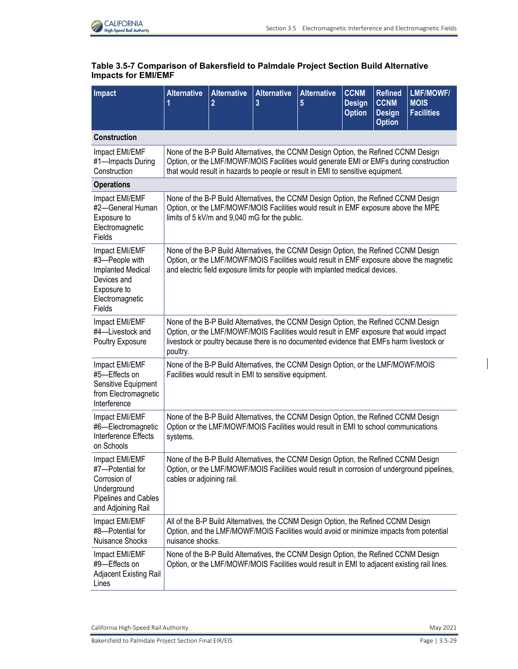

<span id="page-28-0"></span>

| Table 3.5-7 Comparison of Bakersfield to Palmdale Project Section Build Alternative |
|-------------------------------------------------------------------------------------|
| <b>Impacts for EMI/EMF</b>                                                          |

| <b>Impact</b>                                                                                                           | <b>Alternative</b><br>1   | <b>Alternative</b><br>$\overline{2}$ | <b>Alternative</b><br>3                                | <b>Alternative</b><br>5                                                                                                                                                                                                                                                   | <b>CCNM</b><br><b>Design</b><br><b>Option</b> | <b>Refined</b><br><b>CCNM</b><br><b>Design</b><br><b>Option</b> | LMF/MOWF/<br><b>MOIS</b><br><b>Facilities</b>                                               |
|-------------------------------------------------------------------------------------------------------------------------|---------------------------|--------------------------------------|--------------------------------------------------------|---------------------------------------------------------------------------------------------------------------------------------------------------------------------------------------------------------------------------------------------------------------------------|-----------------------------------------------|-----------------------------------------------------------------|---------------------------------------------------------------------------------------------|
| <b>Construction</b>                                                                                                     |                           |                                      |                                                        |                                                                                                                                                                                                                                                                           |                                               |                                                                 |                                                                                             |
| Impact EMI/EMF<br>#1-Impacts During<br>Construction                                                                     |                           |                                      |                                                        | None of the B-P Build Alternatives, the CCNM Design Option, the Refined CCNM Design<br>Option, or the LMF/MOWF/MOIS Facilities would generate EMI or EMFs during construction<br>that would result in hazards to people or result in EMI to sensitive equipment.          |                                               |                                                                 |                                                                                             |
| <b>Operations</b>                                                                                                       |                           |                                      |                                                        |                                                                                                                                                                                                                                                                           |                                               |                                                                 |                                                                                             |
| Impact EMI/EMF<br>#2-General Human<br>Exposure to<br>Electromagnetic<br>Fields                                          |                           |                                      | limits of 5 kV/m and 9,040 mG for the public.          | None of the B-P Build Alternatives, the CCNM Design Option, the Refined CCNM Design<br>Option, or the LMF/MOWF/MOIS Facilities would result in EMF exposure above the MPE                                                                                                 |                                               |                                                                 |                                                                                             |
| Impact EMI/EMF<br>#3-People with<br><b>Implanted Medical</b><br>Devices and<br>Exposure to<br>Electromagnetic<br>Fields |                           |                                      |                                                        | None of the B-P Build Alternatives, the CCNM Design Option, the Refined CCNM Design<br>and electric field exposure limits for people with implanted medical devices.                                                                                                      |                                               |                                                                 | Option, or the LMF/MOWF/MOIS Facilities would result in EMF exposure above the magnetic     |
| Impact EMI/EMF<br>#4-Livestock and<br>Poultry Exposure                                                                  | poultry.                  |                                      |                                                        | None of the B-P Build Alternatives, the CCNM Design Option, the Refined CCNM Design<br>Option, or the LMF/MOWF/MOIS Facilities would result in EMF exposure that would impact<br>livestock or poultry because there is no documented evidence that EMFs harm livestock or |                                               |                                                                 |                                                                                             |
| Impact EMI/EMF<br>#5-Effects on<br>Sensitive Equipment<br>from Electromagnetic<br>Interference                          |                           |                                      | Facilities would result in EMI to sensitive equipment. | None of the B-P Build Alternatives, the CCNM Design Option, or the LMF/MOWF/MOIS                                                                                                                                                                                          |                                               |                                                                 |                                                                                             |
| Impact EMI/EMF<br>#6-Electromagnetic<br>Interference Effects<br>on Schools                                              | systems.                  |                                      |                                                        | None of the B-P Build Alternatives, the CCNM Design Option, the Refined CCNM Design<br>Option or the LMF/MOWF/MOIS Facilities would result in EMI to school communications                                                                                                |                                               |                                                                 |                                                                                             |
| Impact EMI/EMF<br>#7—Potential for<br>Corrosion of<br>Underground<br><b>Pipelines and Cables</b><br>and Adjoining Rail  | cables or adjoining rail. |                                      |                                                        | None of the B-P Build Alternatives, the CCNM Design Option, the Refined CCNM Design                                                                                                                                                                                       |                                               |                                                                 | Option, or the LMF/MOWF/MOIS Facilities would result in corrosion of underground pipelines, |
| Impact EMI/EMF<br>#8-Potential for<br><b>Nuisance Shocks</b>                                                            | nuisance shocks.          |                                      |                                                        | All of the B-P Build Alternatives, the CCNM Design Option, the Refined CCNM Design<br>Option, and the LMF/MOWF/MOIS Facilities would avoid or minimize impacts from potential                                                                                             |                                               |                                                                 |                                                                                             |
| Impact EMI/EMF<br>#9-Effects on<br>Adjacent Existing Rail<br>Lines                                                      |                           |                                      |                                                        | None of the B-P Build Alternatives, the CCNM Design Option, the Refined CCNM Design<br>Option, or the LMF/MOWF/MOIS Facilities would result in EMI to adjacent existing rail lines.                                                                                       |                                               |                                                                 |                                                                                             |

California High-Speed Rail Authority **May 2021**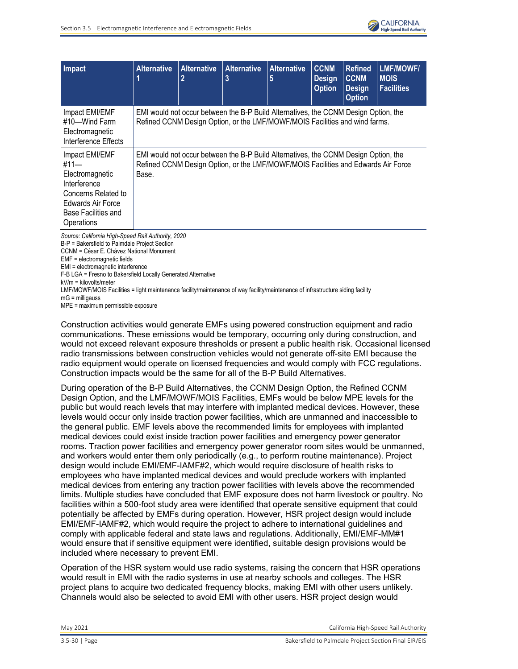

| Impact                                                                                                                                            | <b>Alternative</b> | <b>Alternative</b><br>$\overline{2}$ | <b>Alternative</b><br>3                                                                                                                                                  | <b>Alternative</b><br>5 | <b>CCNM</b><br><b>Design</b><br><b>Option</b> | <b>Refined</b><br><b>CCNM</b><br><b>Design</b><br><b>Option</b> | <b>LMF/MOWF/</b><br><b>MOIS</b><br><b>Facilities</b> |
|---------------------------------------------------------------------------------------------------------------------------------------------------|--------------------|--------------------------------------|--------------------------------------------------------------------------------------------------------------------------------------------------------------------------|-------------------------|-----------------------------------------------|-----------------------------------------------------------------|------------------------------------------------------|
| Impact EMI/EMF<br>#10—Wind Farm<br>Electromagnetic<br>Interference Effects                                                                        |                    |                                      | EMI would not occur between the B-P Build Alternatives, the CCNM Design Option, the<br>Refined CCNM Design Option, or the LMF/MOWF/MOIS Facilities and wind farms.       |                         |                                               |                                                                 |                                                      |
| Impact EMI/EMF<br>#11—<br>Electromagnetic<br>Interference<br>Concerns Related to<br><b>Edwards Air Force</b><br>Base Facilities and<br>Operations | Base.              |                                      | EMI would not occur between the B-P Build Alternatives, the CCNM Design Option, the<br>Refined CCNM Design Option, or the LMF/MOWF/MOIS Facilities and Edwards Air Force |                         |                                               |                                                                 |                                                      |
| Source: California High-Speed Rail Authority, 2020                                                                                                |                    |                                      |                                                                                                                                                                          |                         |                                               |                                                                 |                                                      |

B-P = Bakersfield to Palmdale Project Section CCNM = César E. Chávez National Monument EMF = electromagnetic fields EMI = electromagnetic interference F-B LGA = Fresno to Bakersfield Locally Generated Alternative kV/m = kilovolts/meter LMF/MOWF/MOIS Facilities = light maintenance facility/maintenance of way facility/maintenance of infrastructure siding facility  $mG =$  milligauss MPE = maximum permissible exposure

Construction activities would generate EMFs using powered construction equipment and radio communications. These emissions would be temporary, occurring only during construction, and would not exceed relevant exposure thresholds or present a public health risk. Occasional licensed radio transmissions between construction vehicles would not generate off-site EMI because the radio equipment would operate on licensed frequencies and would comply with FCC regulations. Construction impacts would be the same for all of the B-P Build Alternatives.

During operation of the B-P Build Alternatives, the CCNM Design Option, the Refined CCNM Design Option, and the LMF/MOWF/MOIS Facilities, EMFs would be below MPE levels for the public but would reach levels that may interfere with implanted medical devices. However, these levels would occur only inside traction power facilities, which are unmanned and inaccessible to the general public. EMF levels above the recommended limits for employees with implanted medical devices could exist inside traction power facilities and emergency power generator rooms. Traction power facilities and emergency power generator room sites would be unmanned, and workers would enter them only periodically (e.g., to perform routine maintenance). Project design would include EMI/EMF-IAMF#2, which would require disclosure of health risks to employees who have implanted medical devices and would preclude workers with implanted medical devices from entering any traction power facilities with levels above the recommended limits. Multiple studies have concluded that EMF exposure does not harm livestock or poultry. No facilities within a 500-foot study area were identified that operate sensitive equipment that could potentially be affected by EMFs during operation. However, HSR project design would include EMI/EMF-IAMF#2, which would require the project to adhere to international guidelines and comply with applicable federal and state laws and regulations. Additionally, EMI/EMF-MM#1 would ensure that if sensitive equipment were identified, suitable design provisions would be included where necessary to prevent EMI.

Operation of the HSR system would use radio systems, raising the concern that HSR operations would result in EMI with the radio systems in use at nearby schools and colleges. The HSR project plans to acquire two dedicated frequency blocks, making EMI with other users unlikely. Channels would also be selected to avoid EMI with other users. HSR project design would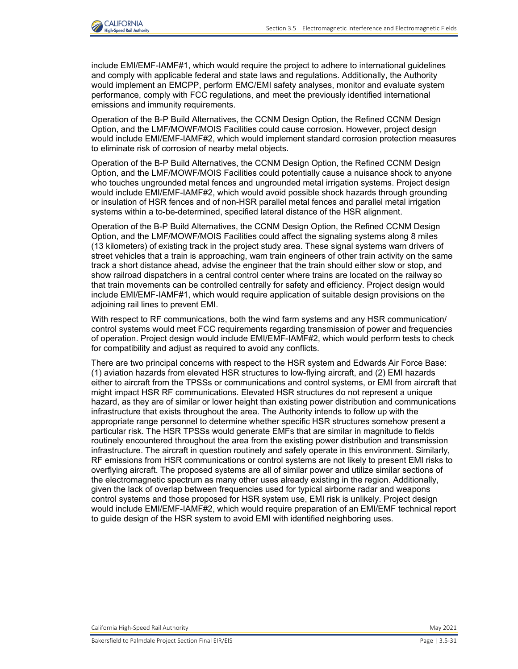

include EMI/EMF-IAMF#1, which would require the project to adhere to international guidelines and comply with applicable federal and state laws and regulations. Additionally, the Authority would implement an EMCPP, perform EMC/EMI safety analyses, monitor and evaluate system performance, comply with FCC regulations, and meet the previously identified international emissions and immunity requirements.

Operation of the B-P Build Alternatives, the CCNM Design Option, the Refined CCNM Design Option, and the LMF/MOWF/MOIS Facilities could cause corrosion. However, project design would include EMI/EMF-IAMF#2, which would implement standard corrosion protection measures to eliminate risk of corrosion of nearby metal objects.

Operation of the B-P Build Alternatives, the CCNM Design Option, the Refined CCNM Design Option, and the LMF/MOWF/MOIS Facilities could potentially cause a nuisance shock to anyone who touches ungrounded metal fences and ungrounded metal irrigation systems. Project design would include EMI/EMF-IAMF#2, which would avoid possible shock hazards through grounding or insulation of HSR fences and of non-HSR parallel metal fences and parallel metal irrigation systems within a to-be-determined, specified lateral distance of the HSR alignment.

Operation of the B-P Build Alternatives, the CCNM Design Option, the Refined CCNM Design Option, and the LMF/MOWF/MOIS Facilities could affect the signaling systems along 8 miles (13 kilometers) of existing track in the project study area. These signal systems warn drivers of street vehicles that a train is approaching, warn train engineers of other train activity on the same track a short distance ahead, advise the engineer that the train should either slow or stop, and show railroad dispatchers in a central control center where trains are located on the railway so that train movements can be controlled centrally for safety and efficiency. Project design would include EMI/EMF-IAMF#1, which would require application of suitable design provisions on the adjoining rail lines to prevent EMI.

With respect to RF communications, both the wind farm systems and any HSR communication/ control systems would meet FCC requirements regarding transmission of power and frequencies of operation. Project design would include EMI/EMF-IAMF#2, which would perform tests to check for compatibility and adjust as required to avoid any conflicts.

There are two principal concerns with respect to the HSR system and Edwards Air Force Base: (1) aviation hazards from elevated HSR structures to low-flying aircraft, and (2) EMI hazards either to aircraft from the TPSSs or communications and control systems, or EMI from aircraft that might impact HSR RF communications. Elevated HSR structures do not represent a unique hazard, as they are of similar or lower height than existing power distribution and communications infrastructure that exists throughout the area. The Authority intends to follow up with the appropriate range personnel to determine whether specific HSR structures somehow present a particular risk. The HSR TPSSs would generate EMFs that are similar in magnitude to fields routinely encountered throughout the area from the existing power distribution and transmission infrastructure. The aircraft in question routinely and safely operate in this environment. Similarly, RF emissions from HSR communications or control systems are not likely to present EMI risks to overflying aircraft. The proposed systems are all of similar power and utilize similar sections of the electromagnetic spectrum as many other uses already existing in the region. Additionally, given the lack of overlap between frequencies used for typical airborne radar and weapons control systems and those proposed for HSR system use, EMI risk is unlikely. Project design would include EMI/EMF-IAMF#2, which would require preparation of an EMI/EMF technical report to guide design of the HSR system to avoid EMI with identified neighboring uses.